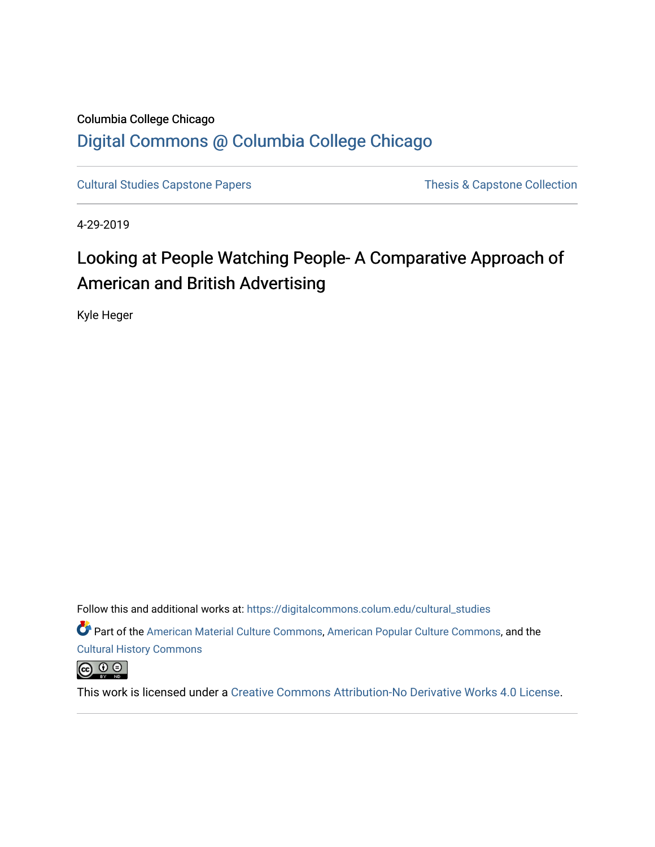# Columbia College Chicago [Digital Commons @ Columbia College Chicago](https://digitalcommons.colum.edu/)

[Cultural Studies Capstone Papers](https://digitalcommons.colum.edu/cultural_studies) Thesis & Capstone Collection

4-29-2019

# Looking at People Watching People- A Comparative Approach of American and British Advertising

Kyle Heger

Follow this and additional works at: [https://digitalcommons.colum.edu/cultural\\_studies](https://digitalcommons.colum.edu/cultural_studies?utm_source=digitalcommons.colum.edu%2Fcultural_studies%2F63&utm_medium=PDF&utm_campaign=PDFCoverPages) 

Part of the [American Material Culture Commons,](http://network.bepress.com/hgg/discipline/442?utm_source=digitalcommons.colum.edu%2Fcultural_studies%2F63&utm_medium=PDF&utm_campaign=PDFCoverPages) [American Popular Culture Commons](http://network.bepress.com/hgg/discipline/443?utm_source=digitalcommons.colum.edu%2Fcultural_studies%2F63&utm_medium=PDF&utm_campaign=PDFCoverPages), and the [Cultural History Commons](http://network.bepress.com/hgg/discipline/496?utm_source=digitalcommons.colum.edu%2Fcultural_studies%2F63&utm_medium=PDF&utm_campaign=PDFCoverPages)

 $\bigcirc$   $\bigcirc$   $\bigcirc$ 

This work is licensed under a [Creative Commons Attribution-No Derivative Works 4.0 License.](https://creativecommons.org/licenses/by-nd/4.0/)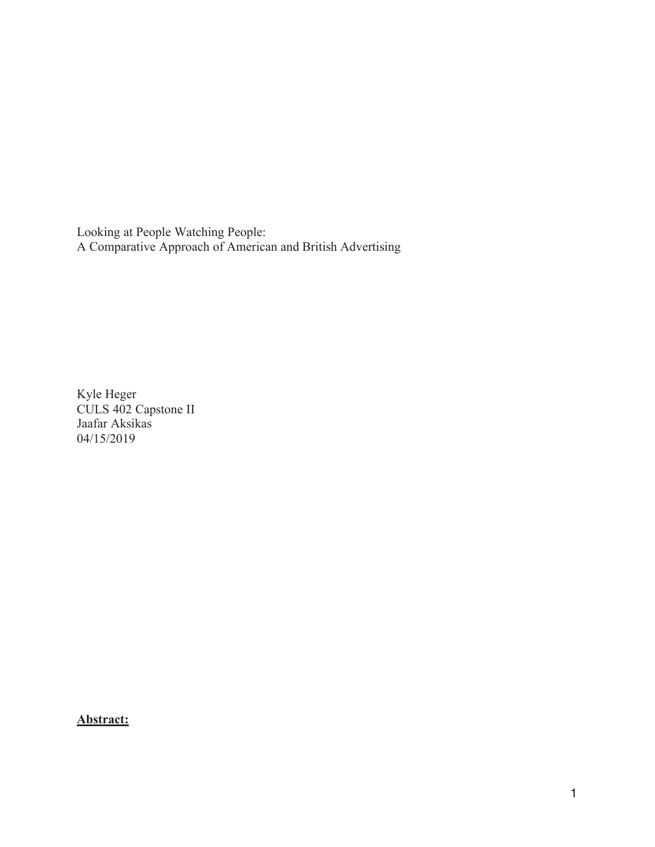Looking at People Watching People: A Comparative Approach of American and British Advertising

Kyle Heger CULS 402 Capstone II Jaafar Aksikas 04/15/2019

**Abstract:**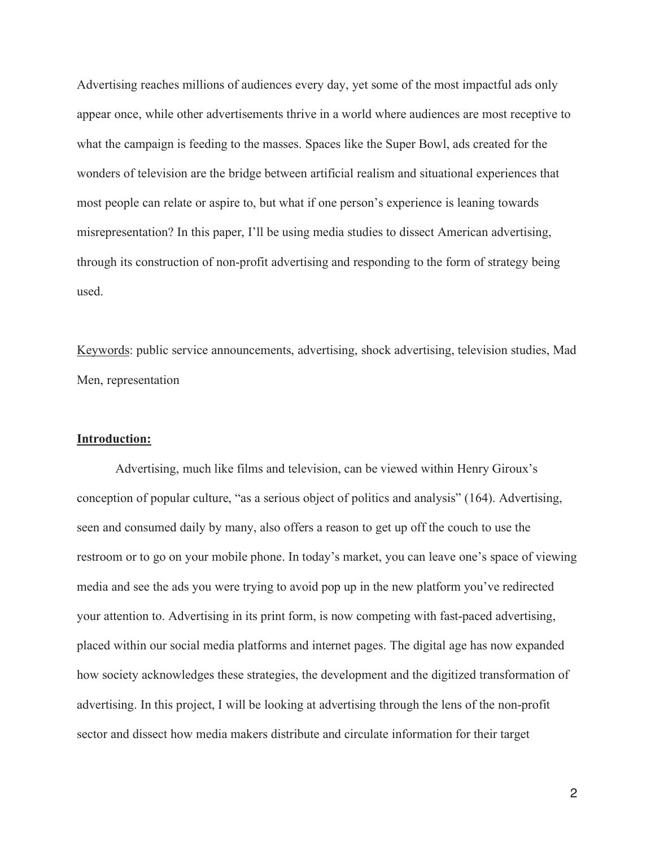Advertising reaches millions of audiences every day, yet some of the most impactful ads only appear once, while other advertisements thrive in a world where audiences are most receptive to what the campaign is feeding to the masses. Spaces like the Super Bowl, ads created for the wonders of television are the bridge between artificial realism and situational experiences that most people can relate or aspire to, but what if one person's experience is leaning towards misrepresentation? In this paper, I'll be using media studies to dissect American advertising, through its construction of non-profit advertising and responding to the form of strategy being used.

Keywords: public service announcements, advertising, shock advertising, television studies, Mad Men, representation

### **Introduction:**

 Advertising, much like films and television, can be viewed within Henry Giroux's conception of popular culture, "as a serious object of politics and analysis" (164). Advertising, seen and consumed daily by many, also offers a reason to get up off the couch to use the restroom or to go on your mobile phone. In today's market, you can leave one's space of viewing media and see the ads you were trying to avoid pop up in the new platform you've redirected your attention to. Advertising in its print form, is now competing with fast-paced advertising, placed within our social media platforms and internet pages. The digital age has now expanded how society acknowledges these strategies, the development and the digitized transformation of advertising. In this project, I will be looking at advertising through the lens of the non-profit sector and dissect how media makers distribute and circulate information for their target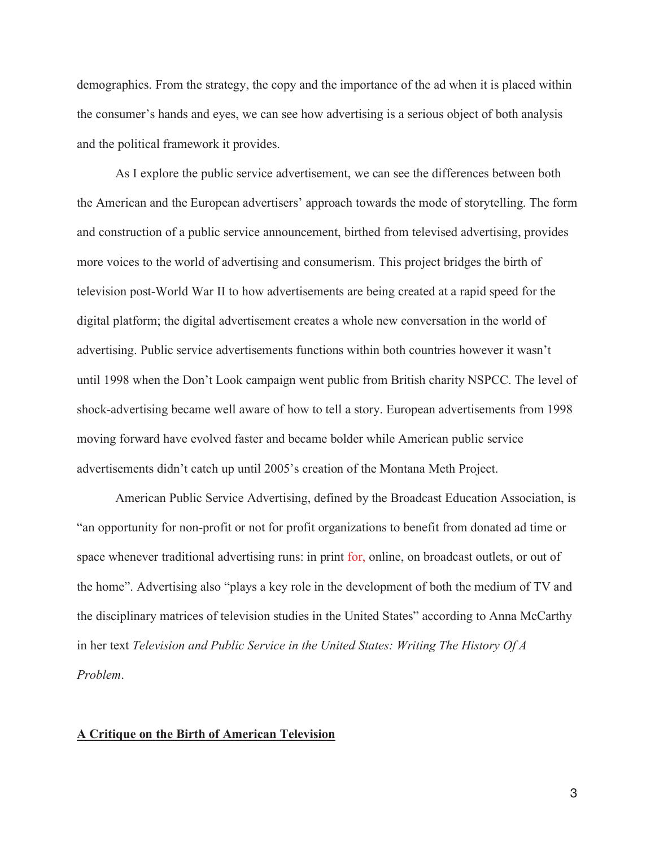demographics. From the strategy, the copy and the importance of the ad when it is placed within the consumer's hands and eyes, we can see how advertising is a serious object of both analysis and the political framework it provides.

 As I explore the public service advertisement, we can see the differences between both the American and the European advertisers' approach towards the mode of storytelling. The form and construction of a public service announcement, birthed from televised advertising, provides more voices to the world of advertising and consumerism. This project bridges the birth of television post-World War II to how advertisements are being created at a rapid speed for the digital platform; the digital advertisement creates a whole new conversation in the world of advertising. Public service advertisements functions within both countries however it wasn't until 1998 when the Don't Look campaign went public from British charity NSPCC. The level of shock-advertising became well aware of how to tell a story. European advertisements from 1998 moving forward have evolved faster and became bolder while American public service advertisements didn't catch up until 2005's creation of the Montana Meth Project.

 American Public Service Advertising, defined by the Broadcast Education Association, is "an opportunity for non-profit or not for profit organizations to benefit from donated ad time or space whenever traditional advertising runs: in print for, online, on broadcast outlets, or out of the home". Advertising also "plays a key role in the development of both the medium of TV and the disciplinary matrices of television studies in the United States" according to Anna McCarthy in her text *Television and Public Service in the United States: Writing The History Of A Problem*.

#### **A Critique on the Birth of American Television**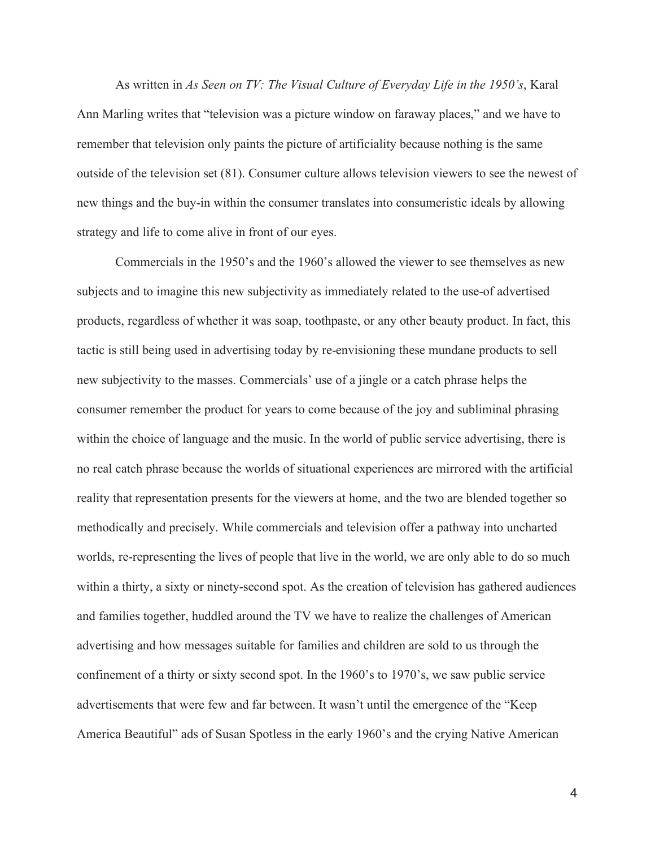As written in *As Seen on TV: The Visual Culture of Everyday Life in the 1950's*, Karal Ann Marling writes that "television was a picture window on faraway places," and we have to remember that television only paints the picture of artificiality because nothing is the same outside of the television set (81). Consumer culture allows television viewers to see the newest of new things and the buy-in within the consumer translates into consumeristic ideals by allowing strategy and life to come alive in front of our eyes.

 Commercials in the 1950's and the 1960's allowed the viewer to see themselves as new subjects and to imagine this new subjectivity as immediately related to the use-of advertised products, regardless of whether it was soap, toothpaste, or any other beauty product. In fact, this tactic is still being used in advertising today by re-envisioning these mundane products to sell new subjectivity to the masses. Commercials' use of a jingle or a catch phrase helps the consumer remember the product for years to come because of the joy and subliminal phrasing within the choice of language and the music. In the world of public service advertising, there is no real catch phrase because the worlds of situational experiences are mirrored with the artificial reality that representation presents for the viewers at home, and the two are blended together so methodically and precisely. While commercials and television offer a pathway into uncharted worlds, re-representing the lives of people that live in the world, we are only able to do so much within a thirty, a sixty or ninety-second spot. As the creation of television has gathered audiences and families together, huddled around the TV we have to realize the challenges of American advertising and how messages suitable for families and children are sold to us through the confinement of a thirty or sixty second spot. In the 1960's to 1970's, we saw public service advertisements that were few and far between. It wasn't until the emergence of the "Keep America Beautiful" ads of Susan Spotless in the early 1960's and the crying Native American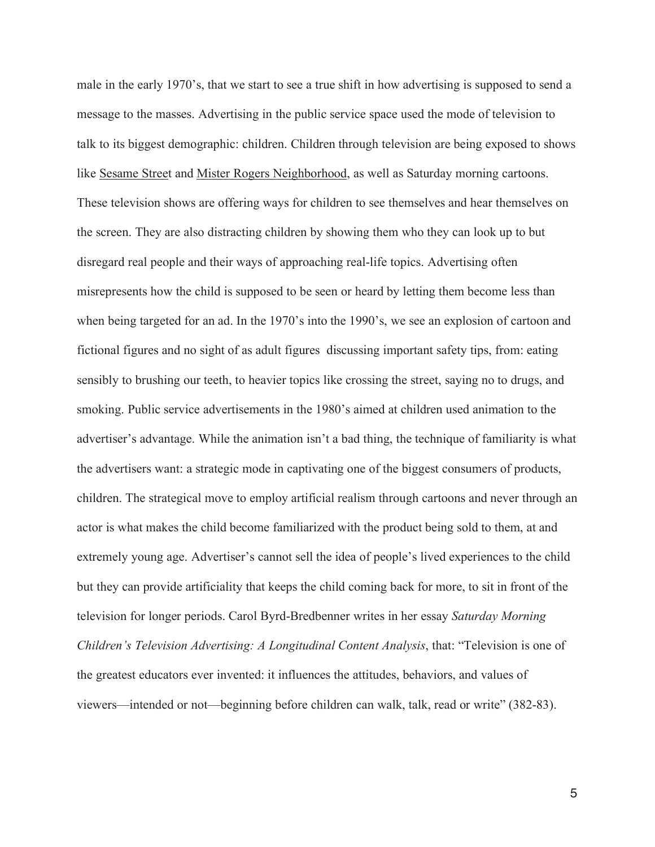male in the early 1970's, that we start to see a true shift in how advertising is supposed to send a message to the masses. Advertising in the public service space used the mode of television to talk to its biggest demographic: children. Children through television are being exposed to shows like Sesame Street and Mister Rogers Neighborhood, as well as Saturday morning cartoons. These television shows are offering ways for children to see themselves and hear themselves on the screen. They are also distracting children by showing them who they can look up to but disregard real people and their ways of approaching real-life topics. Advertising often misrepresents how the child is supposed to be seen or heard by letting them become less than when being targeted for an ad. In the 1970's into the 1990's, we see an explosion of cartoon and fictional figures and no sight of as adult figures discussing important safety tips, from: eating sensibly to brushing our teeth, to heavier topics like crossing the street, saying no to drugs, and smoking. Public service advertisements in the 1980's aimed at children used animation to the advertiser's advantage. While the animation isn't a bad thing, the technique of familiarity is what the advertisers want: a strategic mode in captivating one of the biggest consumers of products, children. The strategical move to employ artificial realism through cartoons and never through an actor is what makes the child become familiarized with the product being sold to them, at and extremely young age. Advertiser's cannot sell the idea of people's lived experiences to the child but they can provide artificiality that keeps the child coming back for more, to sit in front of the television for longer periods. Carol Byrd-Bredbenner writes in her essay *Saturday Morning Children's Television Advertising: A Longitudinal Content Analysis*, that: "Television is one of the greatest educators ever invented: it influences the attitudes, behaviors, and values of viewers—intended or not—beginning before children can walk, talk, read or write" (382-83).

 $\sim$  5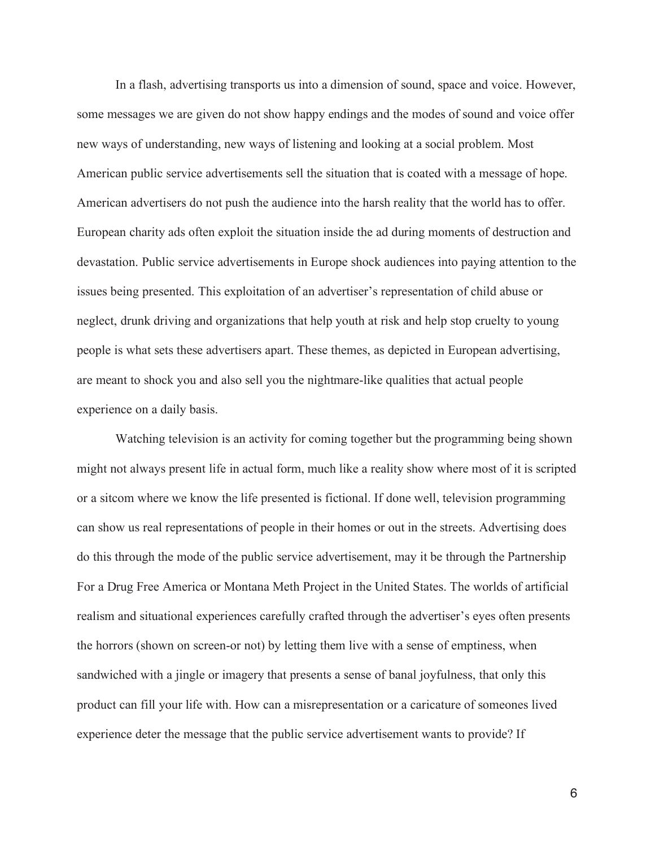In a flash, advertising transports us into a dimension of sound, space and voice. However, some messages we are given do not show happy endings and the modes of sound and voice offer new ways of understanding, new ways of listening and looking at a social problem. Most American public service advertisements sell the situation that is coated with a message of hope. American advertisers do not push the audience into the harsh reality that the world has to offer. European charity ads often exploit the situation inside the ad during moments of destruction and devastation. Public service advertisements in Europe shock audiences into paying attention to the issues being presented. This exploitation of an advertiser's representation of child abuse or neglect, drunk driving and organizations that help youth at risk and help stop cruelty to young people is what sets these advertisers apart. These themes, as depicted in European advertising, are meant to shock you and also sell you the nightmare-like qualities that actual people experience on a daily basis.

 Watching television is an activity for coming together but the programming being shown might not always present life in actual form, much like a reality show where most of it is scripted or a sitcom where we know the life presented is fictional. If done well, television programming can show us real representations of people in their homes or out in the streets. Advertising does do this through the mode of the public service advertisement, may it be through the Partnership For a Drug Free America or Montana Meth Project in the United States. The worlds of artificial realism and situational experiences carefully crafted through the advertiser's eyes often presents the horrors (shown on screen-or not) by letting them live with a sense of emptiness, when sandwiched with a jingle or imagery that presents a sense of banal joyfulness, that only this product can fill your life with. How can a misrepresentation or a caricature of someones lived experience deter the message that the public service advertisement wants to provide? If

 $\sim$  6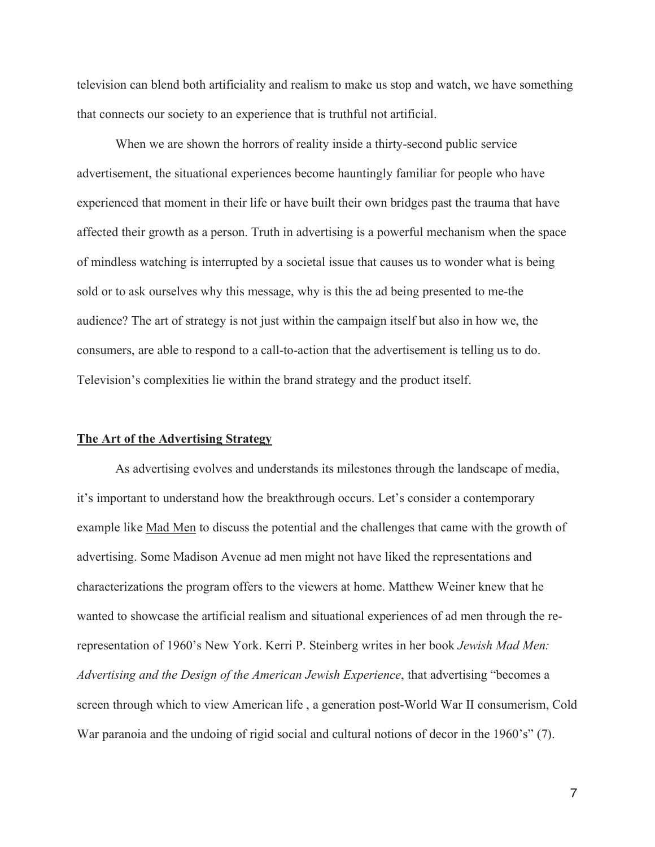television can blend both artificiality and realism to make us stop and watch, we have something that connects our society to an experience that is truthful not artificial.

 When we are shown the horrors of reality inside a thirty-second public service advertisement, the situational experiences become hauntingly familiar for people who have experienced that moment in their life or have built their own bridges past the trauma that have affected their growth as a person. Truth in advertising is a powerful mechanism when the space of mindless watching is interrupted by a societal issue that causes us to wonder what is being sold or to ask ourselves why this message, why is this the ad being presented to me-the audience? The art of strategy is not just within the campaign itself but also in how we, the consumers, are able to respond to a call-to-action that the advertisement is telling us to do. Television's complexities lie within the brand strategy and the product itself.

## **The Art of the Advertising Strategy**

 As advertising evolves and understands its milestones through the landscape of media, it's important to understand how the breakthrough occurs. Let's consider a contemporary example like Mad Men to discuss the potential and the challenges that came with the growth of advertising. Some Madison Avenue ad men might not have liked the representations and characterizations the program offers to the viewers at home. Matthew Weiner knew that he wanted to showcase the artificial realism and situational experiences of ad men through the rerepresentation of 1960's New York. Kerri P. Steinberg writes in her book *Jewish Mad Men: Advertising and the Design of the American Jewish Experience*, that advertising "becomes a screen through which to view American life , a generation post-World War II consumerism, Cold War paranoia and the undoing of rigid social and cultural notions of decor in the 1960's" (7).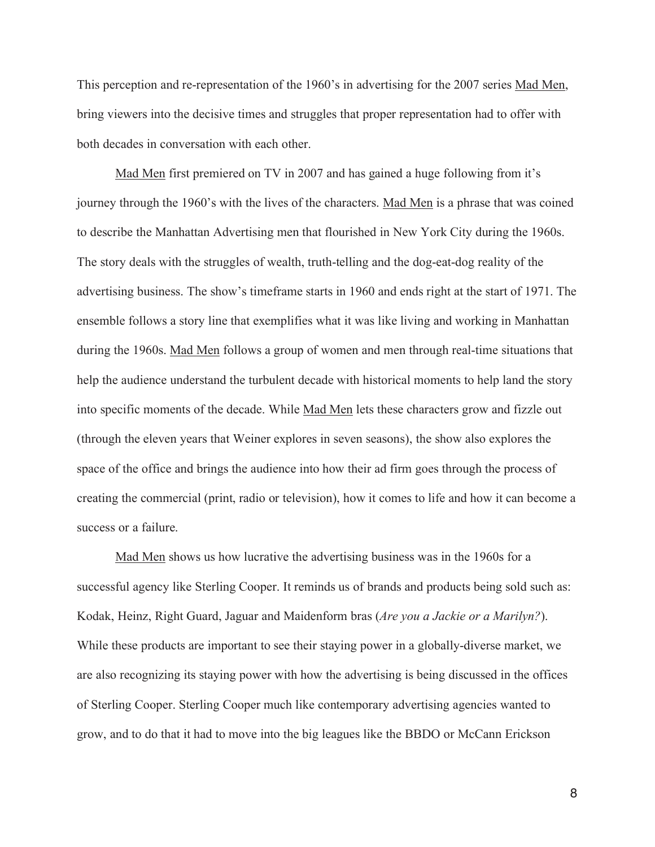This perception and re-representation of the 1960's in advertising for the 2007 series Mad Men, bring viewers into the decisive times and struggles that proper representation had to offer with both decades in conversation with each other.

Mad Men first premiered on TV in 2007 and has gained a huge following from it's journey through the 1960's with the lives of the characters. Mad Men is a phrase that was coined to describe the Manhattan Advertising men that flourished in New York City during the 1960s. The story deals with the struggles of wealth, truth-telling and the dog-eat-dog reality of the advertising business. The show's timeframe starts in 1960 and ends right at the start of 1971. The ensemble follows a story line that exemplifies what it was like living and working in Manhattan during the 1960s. Mad Men follows a group of women and men through real-time situations that help the audience understand the turbulent decade with historical moments to help land the story into specific moments of the decade. While Mad Men lets these characters grow and fizzle out (through the eleven years that Weiner explores in seven seasons), the show also explores the space of the office and brings the audience into how their ad firm goes through the process of creating the commercial (print, radio or television), how it comes to life and how it can become a success or a failure.

Mad Men shows us how lucrative the advertising business was in the 1960s for a successful agency like Sterling Cooper. It reminds us of brands and products being sold such as: Kodak, Heinz, Right Guard, Jaguar and Maidenform bras (*Are you a Jackie or a Marilyn?*). While these products are important to see their staying power in a globally-diverse market, we are also recognizing its staying power with how the advertising is being discussed in the offices of Sterling Cooper. Sterling Cooper much like contemporary advertising agencies wanted to grow, and to do that it had to move into the big leagues like the BBDO or McCann Erickson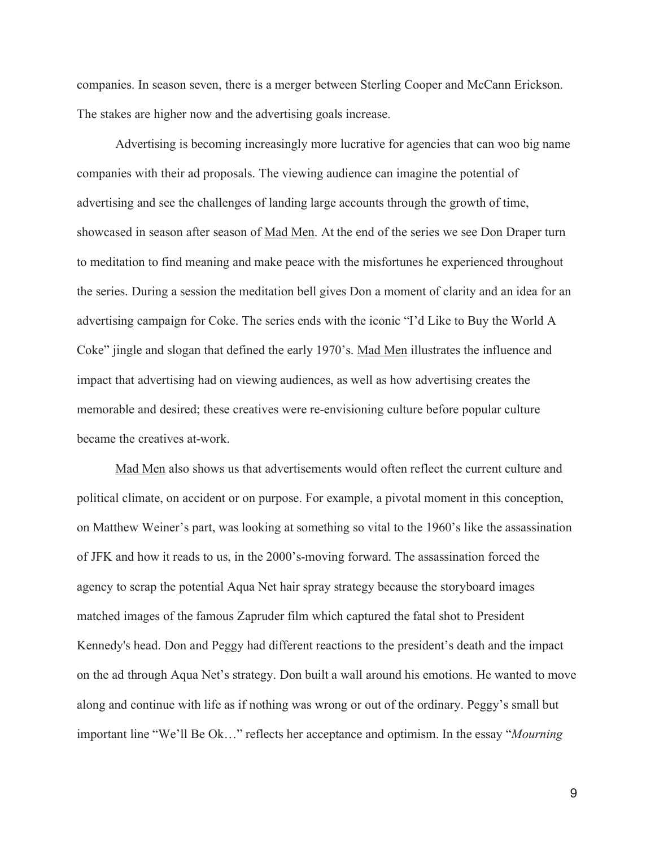companies. In season seven, there is a merger between Sterling Cooper and McCann Erickson. The stakes are higher now and the advertising goals increase.

 Advertising is becoming increasingly more lucrative for agencies that can woo big name companies with their ad proposals. The viewing audience can imagine the potential of advertising and see the challenges of landing large accounts through the growth of time, showcased in season after season of Mad Men. At the end of the series we see Don Draper turn to meditation to find meaning and make peace with the misfortunes he experienced throughout the series. During a session the meditation bell gives Don a moment of clarity and an idea for an advertising campaign for Coke. The series ends with the iconic "I'd Like to Buy the World A Coke" jingle and slogan that defined the early 1970's. Mad Men illustrates the influence and impact that advertising had on viewing audiences, as well as how advertising creates the memorable and desired; these creatives were re-envisioning culture before popular culture became the creatives at-work.

 Mad Men also shows us that advertisements would often reflect the current culture and political climate, on accident or on purpose. For example, a pivotal moment in this conception, on Matthew Weiner's part, was looking at something so vital to the 1960's like the assassination of JFK and how it reads to us, in the 2000's-moving forward. The assassination forced the agency to scrap the potential Aqua Net hair spray strategy because the storyboard images matched images of the famous Zapruder film which captured the fatal shot to President Kennedy's head. Don and Peggy had different reactions to the president's death and the impact on the ad through Aqua Net's strategy. Don built a wall around his emotions. He wanted to move along and continue with life as if nothing was wrong or out of the ordinary. Peggy's small but important line "We'll Be Ok…" reflects her acceptance and optimism. In the essay "*Mourning*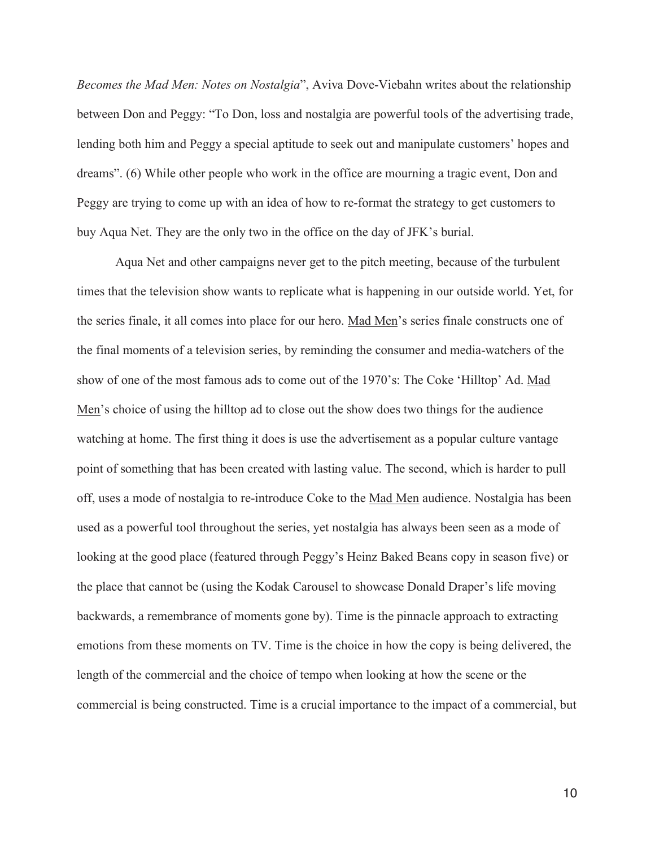*Becomes the Mad Men: Notes on Nostalgia*", Aviva Dove-Viebahn writes about the relationship between Don and Peggy: "To Don, loss and nostalgia are powerful tools of the advertising trade, lending both him and Peggy a special aptitude to seek out and manipulate customers' hopes and dreams". (6) While other people who work in the office are mourning a tragic event, Don and Peggy are trying to come up with an idea of how to re-format the strategy to get customers to buy Aqua Net. They are the only two in the office on the day of JFK's burial.

 Aqua Net and other campaigns never get to the pitch meeting, because of the turbulent times that the television show wants to replicate what is happening in our outside world. Yet, for the series finale, it all comes into place for our hero. Mad Men's series finale constructs one of the final moments of a television series, by reminding the consumer and media-watchers of the show of one of the most famous ads to come out of the 1970's: The Coke 'Hilltop' Ad. Mad Men's choice of using the hilltop ad to close out the show does two things for the audience watching at home. The first thing it does is use the advertisement as a popular culture vantage point of something that has been created with lasting value. The second, which is harder to pull off, uses a mode of nostalgia to re-introduce Coke to the Mad Men audience. Nostalgia has been used as a powerful tool throughout the series, yet nostalgia has always been seen as a mode of looking at the good place (featured through Peggy's Heinz Baked Beans copy in season five) or the place that cannot be (using the Kodak Carousel to showcase Donald Draper's life moving backwards, a remembrance of moments gone by). Time is the pinnacle approach to extracting emotions from these moments on TV. Time is the choice in how the copy is being delivered, the length of the commercial and the choice of tempo when looking at how the scene or the commercial is being constructed. Time is a crucial importance to the impact of a commercial, but

 $10<sub>1</sub>$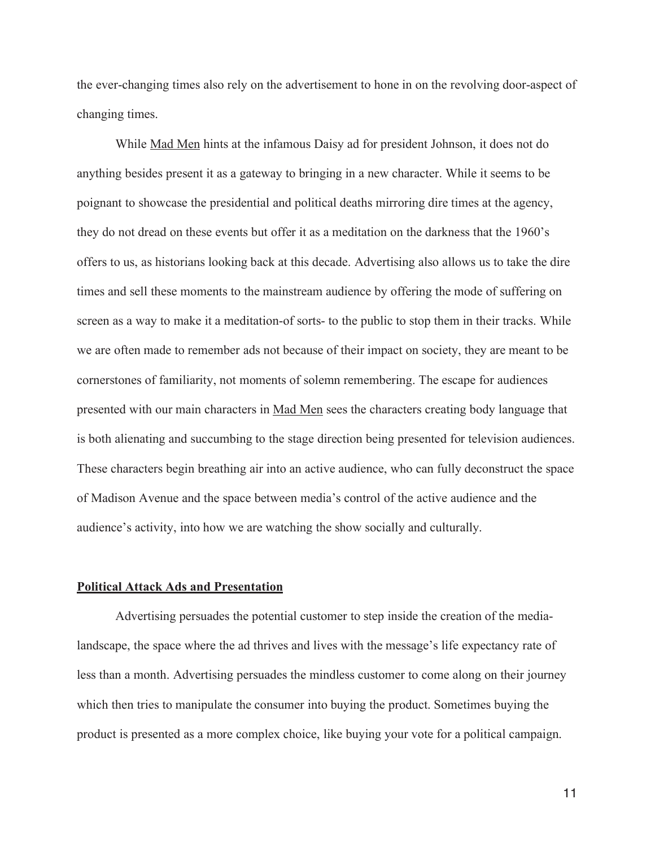the ever-changing times also rely on the advertisement to hone in on the revolving door-aspect of changing times.

 While Mad Men hints at the infamous Daisy ad for president Johnson, it does not do anything besides present it as a gateway to bringing in a new character. While it seems to be poignant to showcase the presidential and political deaths mirroring dire times at the agency, they do not dread on these events but offer it as a meditation on the darkness that the 1960's offers to us, as historians looking back at this decade. Advertising also allows us to take the dire times and sell these moments to the mainstream audience by offering the mode of suffering on screen as a way to make it a meditation-of sorts- to the public to stop them in their tracks. While we are often made to remember ads not because of their impact on society, they are meant to be cornerstones of familiarity, not moments of solemn remembering. The escape for audiences presented with our main characters in Mad Men sees the characters creating body language that is both alienating and succumbing to the stage direction being presented for television audiences. These characters begin breathing air into an active audience, who can fully deconstruct the space of Madison Avenue and the space between media's control of the active audience and the audience's activity, into how we are watching the show socially and culturally.

#### **Political Attack Ads and Presentation**

 Advertising persuades the potential customer to step inside the creation of the medialandscape, the space where the ad thrives and lives with the message's life expectancy rate of less than a month. Advertising persuades the mindless customer to come along on their journey which then tries to manipulate the consumer into buying the product. Sometimes buying the product is presented as a more complex choice, like buying your vote for a political campaign.

. The contract of the contract of the contract of the contract of  $\sim 11$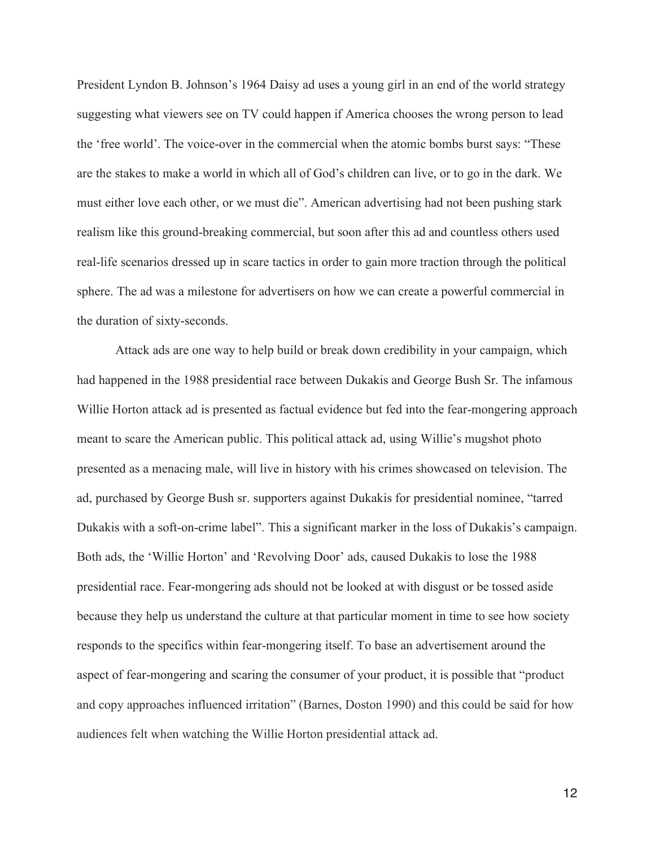President Lyndon B. Johnson's 1964 Daisy ad uses a young girl in an end of the world strategy suggesting what viewers see on TV could happen if America chooses the wrong person to lead the 'free world'. The voice-over in the commercial when the atomic bombs burst says: "These are the stakes to make a world in which all of God's children can live, or to go in the dark. We must either love each other, or we must die". American advertising had not been pushing stark realism like this ground-breaking commercial, but soon after this ad and countless others used real-life scenarios dressed up in scare tactics in order to gain more traction through the political sphere. The ad was a milestone for advertisers on how we can create a powerful commercial in the duration of sixty-seconds.

 Attack ads are one way to help build or break down credibility in your campaign, which had happened in the 1988 presidential race between Dukakis and George Bush Sr. The infamous Willie Horton attack ad is presented as factual evidence but fed into the fear-mongering approach meant to scare the American public. This political attack ad, using Willie's mugshot photo presented as a menacing male, will live in history with his crimes showcased on television. The ad, purchased by George Bush sr. supporters against Dukakis for presidential nominee, "tarred Dukakis with a soft-on-crime label". This a significant marker in the loss of Dukakis's campaign. Both ads, the 'Willie Horton' and 'Revolving Door' ads, caused Dukakis to lose the 1988 presidential race. Fear-mongering ads should not be looked at with disgust or be tossed aside because they help us understand the culture at that particular moment in time to see how society responds to the specifics within fear-mongering itself. To base an advertisement around the aspect of fear-mongering and scaring the consumer of your product, it is possible that "product and copy approaches influenced irritation" (Barnes, Doston 1990) and this could be said for how audiences felt when watching the Willie Horton presidential attack ad.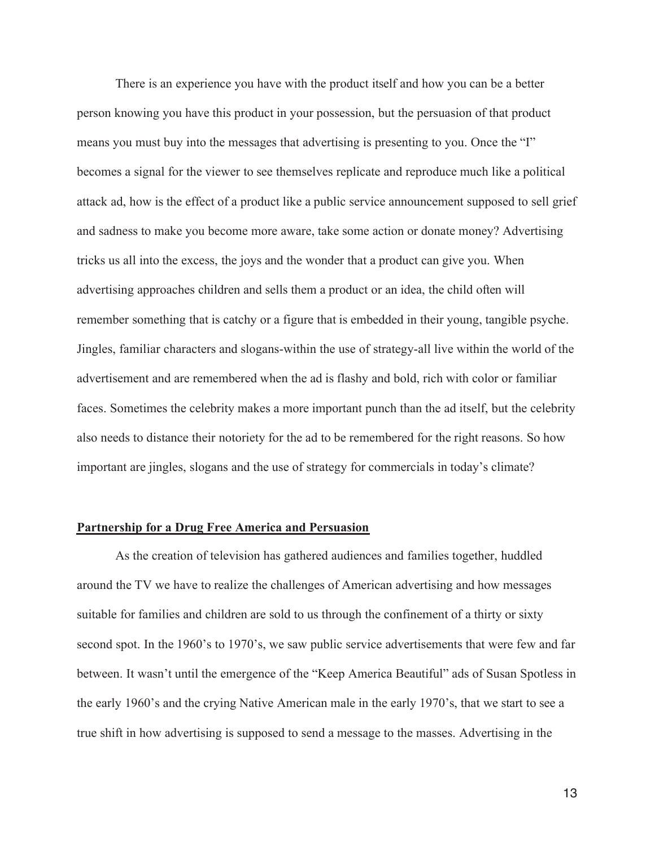There is an experience you have with the product itself and how you can be a better person knowing you have this product in your possession, but the persuasion of that product means you must buy into the messages that advertising is presenting to you. Once the "I" becomes a signal for the viewer to see themselves replicate and reproduce much like a political attack ad, how is the effect of a product like a public service announcement supposed to sell grief and sadness to make you become more aware, take some action or donate money? Advertising tricks us all into the excess, the joys and the wonder that a product can give you. When advertising approaches children and sells them a product or an idea, the child often will remember something that is catchy or a figure that is embedded in their young, tangible psyche. Jingles, familiar characters and slogans-within the use of strategy-all live within the world of the advertisement and are remembered when the ad is flashy and bold, rich with color or familiar faces. Sometimes the celebrity makes a more important punch than the ad itself, but the celebrity also needs to distance their notoriety for the ad to be remembered for the right reasons. So how important are jingles, slogans and the use of strategy for commercials in today's climate?

## **Partnership for a Drug Free America and Persuasion**

As the creation of television has gathered audiences and families together, huddled around the TV we have to realize the challenges of American advertising and how messages suitable for families and children are sold to us through the confinement of a thirty or sixty second spot. In the 1960's to 1970's, we saw public service advertisements that were few and far between. It wasn't until the emergence of the "Keep America Beautiful" ads of Susan Spotless in the early 1960's and the crying Native American male in the early 1970's, that we start to see a true shift in how advertising is supposed to send a message to the masses. Advertising in the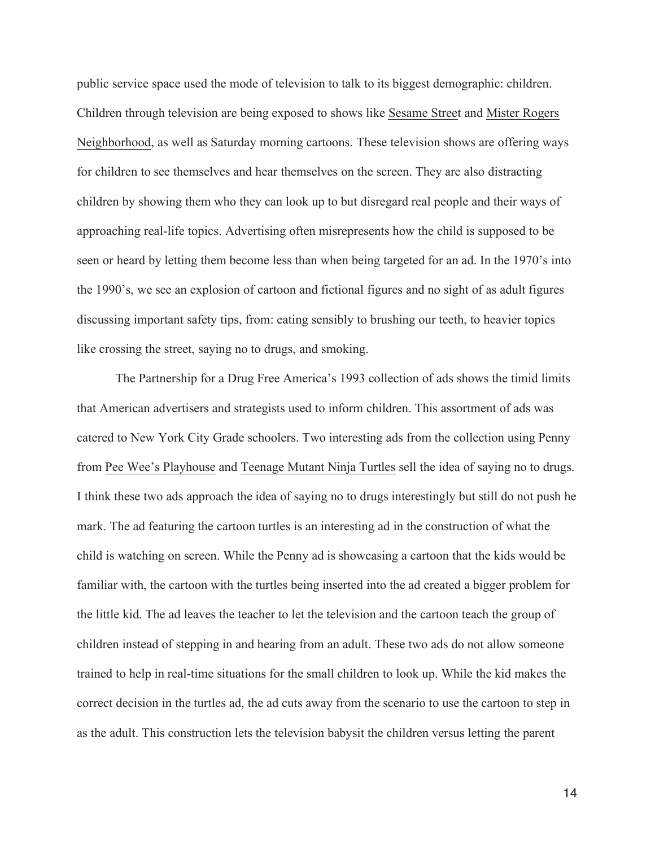public service space used the mode of television to talk to its biggest demographic: children. Children through television are being exposed to shows like Sesame Street and Mister Rogers Neighborhood, as well as Saturday morning cartoons. These television shows are offering ways for children to see themselves and hear themselves on the screen. They are also distracting children by showing them who they can look up to but disregard real people and their ways of approaching real-life topics. Advertising often misrepresents how the child is supposed to be seen or heard by letting them become less than when being targeted for an ad. In the 1970's into the 1990's, we see an explosion of cartoon and fictional figures and no sight of as adult figures discussing important safety tips, from: eating sensibly to brushing our teeth, to heavier topics like crossing the street, saying no to drugs, and smoking.

The Partnership for a Drug Free America's 1993 collection of ads shows the timid limits that American advertisers and strategists used to inform children. This assortment of ads was catered to New York City Grade schoolers. Two interesting ads from the collection using Penny from Pee Wee's Playhouse and Teenage Mutant Ninja Turtles sell the idea of saying no to drugs. I think these two ads approach the idea of saying no to drugs interestingly but still do not push he mark. The ad featuring the cartoon turtles is an interesting ad in the construction of what the child is watching on screen. While the Penny ad is showcasing a cartoon that the kids would be familiar with, the cartoon with the turtles being inserted into the ad created a bigger problem for the little kid. The ad leaves the teacher to let the television and the cartoon teach the group of children instead of stepping in and hearing from an adult. These two ads do not allow someone trained to help in real-time situations for the small children to look up. While the kid makes the correct decision in the turtles ad, the ad cuts away from the scenario to use the cartoon to step in as the adult. This construction lets the television babysit the children versus letting the parent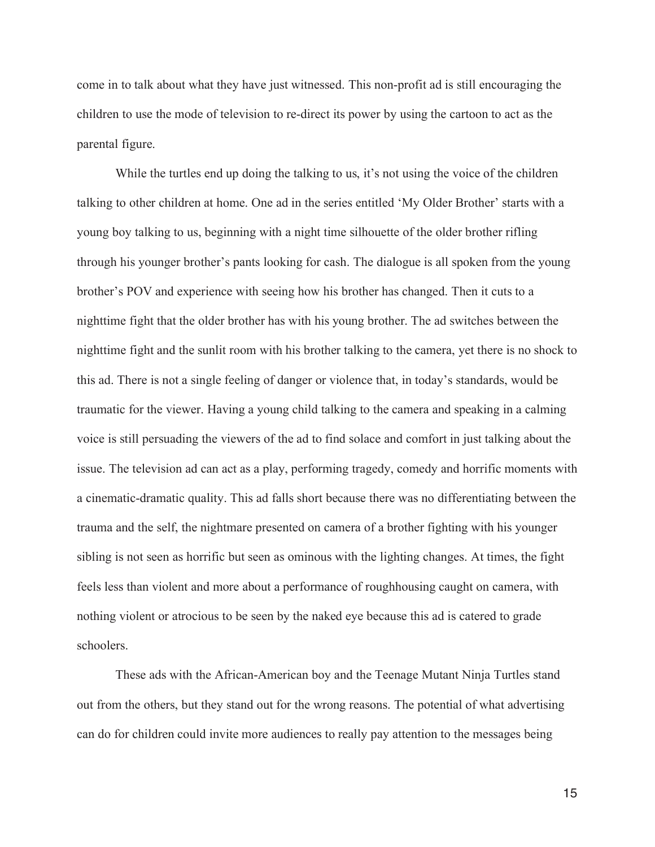come in to talk about what they have just witnessed. This non-profit ad is still encouraging the children to use the mode of television to re-direct its power by using the cartoon to act as the parental figure.

While the turtles end up doing the talking to us, it's not using the voice of the children talking to other children at home. One ad in the series entitled 'My Older Brother' starts with a young boy talking to us, beginning with a night time silhouette of the older brother rifling through his younger brother's pants looking for cash. The dialogue is all spoken from the young brother's POV and experience with seeing how his brother has changed. Then it cuts to a nighttime fight that the older brother has with his young brother. The ad switches between the nighttime fight and the sunlit room with his brother talking to the camera, yet there is no shock to this ad. There is not a single feeling of danger or violence that, in today's standards, would be traumatic for the viewer. Having a young child talking to the camera and speaking in a calming voice is still persuading the viewers of the ad to find solace and comfort in just talking about the issue. The television ad can act as a play, performing tragedy, comedy and horrific moments with a cinematic-dramatic quality. This ad falls short because there was no differentiating between the trauma and the self, the nightmare presented on camera of a brother fighting with his younger sibling is not seen as horrific but seen as ominous with the lighting changes. At times, the fight feels less than violent and more about a performance of roughhousing caught on camera, with nothing violent or atrocious to be seen by the naked eye because this ad is catered to grade schoolers.

 These ads with the African-American boy and the Teenage Mutant Ninja Turtles stand out from the others, but they stand out for the wrong reasons. The potential of what advertising can do for children could invite more audiences to really pay attention to the messages being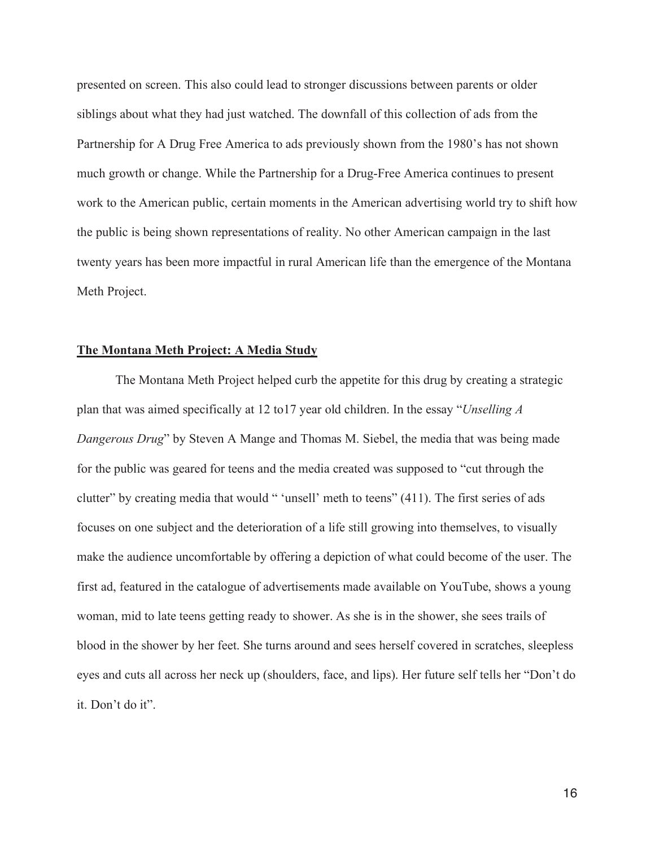presented on screen. This also could lead to stronger discussions between parents or older siblings about what they had just watched. The downfall of this collection of ads from the Partnership for A Drug Free America to ads previously shown from the 1980's has not shown much growth or change. While the Partnership for a Drug-Free America continues to present work to the American public, certain moments in the American advertising world try to shift how the public is being shown representations of reality. No other American campaign in the last twenty years has been more impactful in rural American life than the emergence of the Montana Meth Project.

#### **The Montana Meth Project: A Media Study**

 The Montana Meth Project helped curb the appetite for this drug by creating a strategic plan that was aimed specifically at 12 to17 year old children. In the essay "*Unselling A Dangerous Drug*" by Steven A Mange and Thomas M. Siebel, the media that was being made for the public was geared for teens and the media created was supposed to "cut through the clutter" by creating media that would " 'unsell' meth to teens" (411). The first series of ads focuses on one subject and the deterioration of a life still growing into themselves, to visually make the audience uncomfortable by offering a depiction of what could become of the user. The first ad, featured in the catalogue of advertisements made available on YouTube, shows a young woman, mid to late teens getting ready to shower. As she is in the shower, she sees trails of blood in the shower by her feet. She turns around and sees herself covered in scratches, sleepless eyes and cuts all across her neck up (shoulders, face, and lips). Her future self tells her "Don't do it. Don't do it".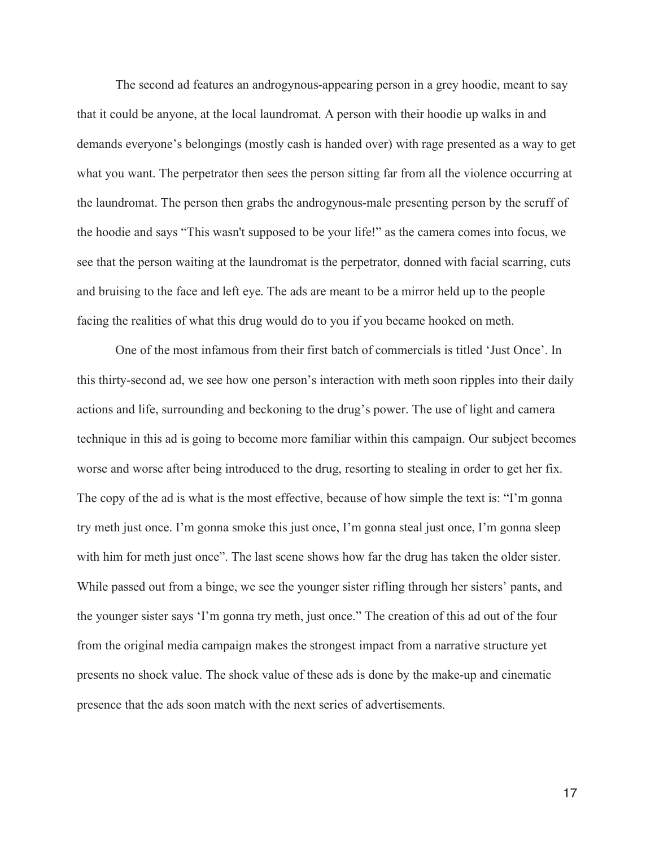The second ad features an androgynous-appearing person in a grey hoodie, meant to say that it could be anyone, at the local laundromat. A person with their hoodie up walks in and demands everyone's belongings (mostly cash is handed over) with rage presented as a way to get what you want. The perpetrator then sees the person sitting far from all the violence occurring at the laundromat. The person then grabs the androgynous-male presenting person by the scruff of the hoodie and says "This wasn't supposed to be your life!" as the camera comes into focus, we see that the person waiting at the laundromat is the perpetrator, donned with facial scarring, cuts and bruising to the face and left eye. The ads are meant to be a mirror held up to the people facing the realities of what this drug would do to you if you became hooked on meth.

 One of the most infamous from their first batch of commercials is titled 'Just Once'. In this thirty-second ad, we see how one person's interaction with meth soon ripples into their daily actions and life, surrounding and beckoning to the drug's power. The use of light and camera technique in this ad is going to become more familiar within this campaign. Our subject becomes worse and worse after being introduced to the drug, resorting to stealing in order to get her fix. The copy of the ad is what is the most effective, because of how simple the text is: "I'm gonna try meth just once. I'm gonna smoke this just once, I'm gonna steal just once, I'm gonna sleep with him for meth just once". The last scene shows how far the drug has taken the older sister. While passed out from a binge, we see the younger sister rifling through her sisters' pants, and the younger sister says 'I'm gonna try meth, just once." The creation of this ad out of the four from the original media campaign makes the strongest impact from a narrative structure yet presents no shock value. The shock value of these ads is done by the make-up and cinematic presence that the ads soon match with the next series of advertisements.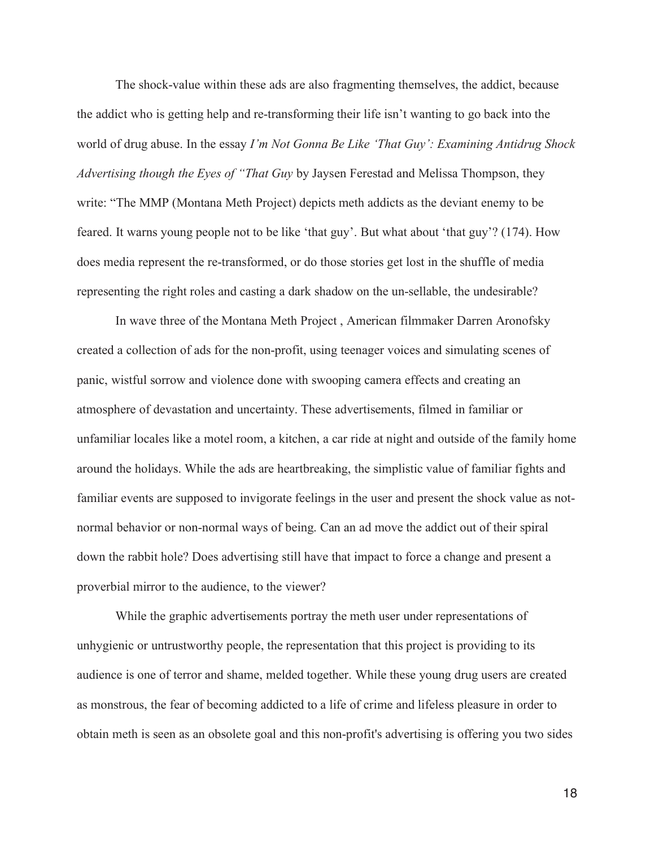The shock-value within these ads are also fragmenting themselves, the addict, because the addict who is getting help and re-transforming their life isn't wanting to go back into the world of drug abuse. In the essay *I'm Not Gonna Be Like 'That Guy': Examining Antidrug Shock Advertising though the Eyes of "That Guy* by Jaysen Ferestad and Melissa Thompson, they write: "The MMP (Montana Meth Project) depicts meth addicts as the deviant enemy to be feared. It warns young people not to be like 'that guy'. But what about 'that guy'? (174). How does media represent the re-transformed, or do those stories get lost in the shuffle of media representing the right roles and casting a dark shadow on the un-sellable, the undesirable?

 In wave three of the Montana Meth Project , American filmmaker Darren Aronofsky created a collection of ads for the non-profit, using teenager voices and simulating scenes of panic, wistful sorrow and violence done with swooping camera effects and creating an atmosphere of devastation and uncertainty. These advertisements, filmed in familiar or unfamiliar locales like a motel room, a kitchen, a car ride at night and outside of the family home around the holidays. While the ads are heartbreaking, the simplistic value of familiar fights and familiar events are supposed to invigorate feelings in the user and present the shock value as notnormal behavior or non-normal ways of being. Can an ad move the addict out of their spiral down the rabbit hole? Does advertising still have that impact to force a change and present a proverbial mirror to the audience, to the viewer?

 While the graphic advertisements portray the meth user under representations of unhygienic or untrustworthy people, the representation that this project is providing to its audience is one of terror and shame, melded together. While these young drug users are created as monstrous, the fear of becoming addicted to a life of crime and lifeless pleasure in order to obtain meth is seen as an obsolete goal and this non-profit's advertising is offering you two sides

 $18<sup>18</sup>$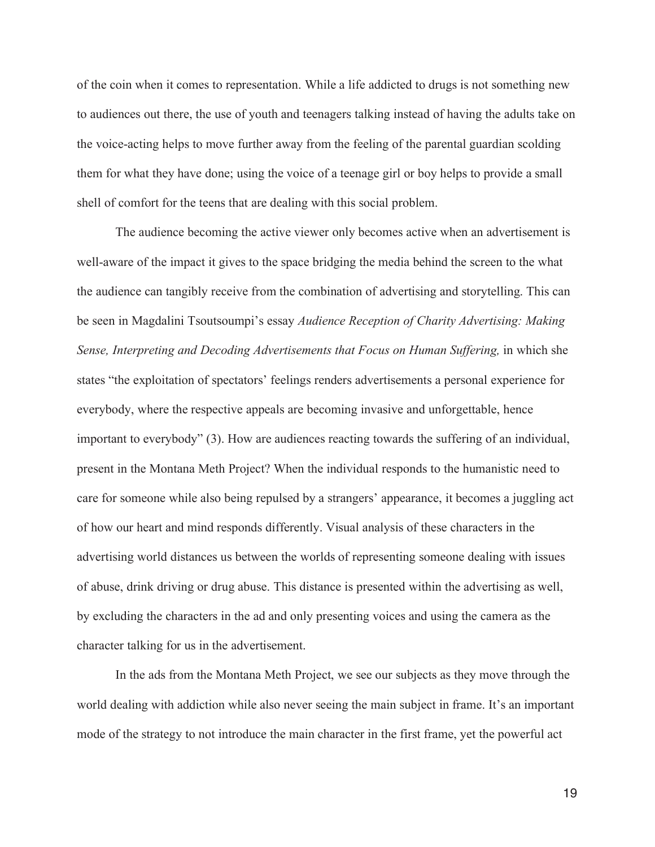of the coin when it comes to representation. While a life addicted to drugs is not something new to audiences out there, the use of youth and teenagers talking instead of having the adults take on the voice-acting helps to move further away from the feeling of the parental guardian scolding them for what they have done; using the voice of a teenage girl or boy helps to provide a small shell of comfort for the teens that are dealing with this social problem.

 The audience becoming the active viewer only becomes active when an advertisement is well-aware of the impact it gives to the space bridging the media behind the screen to the what the audience can tangibly receive from the combination of advertising and storytelling. This can be seen in Magdalini Tsoutsoumpi's essay *Audience Reception of Charity Advertising: Making Sense, Interpreting and Decoding Advertisements that Focus on Human Suffering, in which she* states "the exploitation of spectators' feelings renders advertisements a personal experience for everybody, where the respective appeals are becoming invasive and unforgettable, hence important to everybody" (3). How are audiences reacting towards the suffering of an individual, present in the Montana Meth Project? When the individual responds to the humanistic need to care for someone while also being repulsed by a strangers' appearance, it becomes a juggling act of how our heart and mind responds differently. Visual analysis of these characters in the advertising world distances us between the worlds of representing someone dealing with issues of abuse, drink driving or drug abuse. This distance is presented within the advertising as well, by excluding the characters in the ad and only presenting voices and using the camera as the character talking for us in the advertisement.

 In the ads from the Montana Meth Project, we see our subjects as they move through the world dealing with addiction while also never seeing the main subject in frame. It's an important mode of the strategy to not introduce the main character in the first frame, yet the powerful act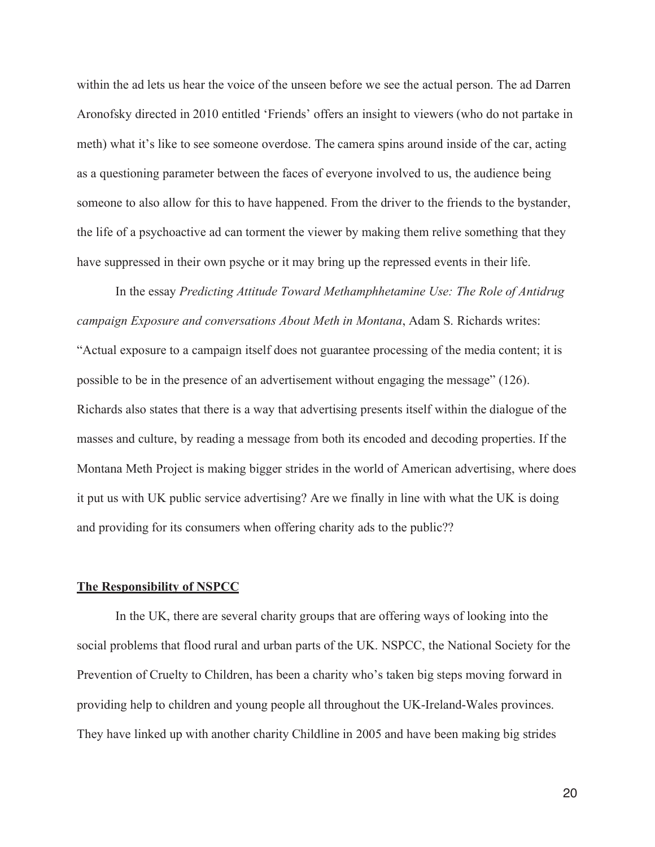within the ad lets us hear the voice of the unseen before we see the actual person. The ad Darren Aronofsky directed in 2010 entitled 'Friends' offers an insight to viewers (who do not partake in meth) what it's like to see someone overdose. The camera spins around inside of the car, acting as a questioning parameter between the faces of everyone involved to us, the audience being someone to also allow for this to have happened. From the driver to the friends to the bystander, the life of a psychoactive ad can torment the viewer by making them relive something that they have suppressed in their own psyche or it may bring up the repressed events in their life.

 In the essay *Predicting Attitude Toward Methamphhetamine Use: The Role of Antidrug campaign Exposure and conversations About Meth in Montana*, Adam S. Richards writes: "Actual exposure to a campaign itself does not guarantee processing of the media content; it is possible to be in the presence of an advertisement without engaging the message" (126). Richards also states that there is a way that advertising presents itself within the dialogue of the masses and culture, by reading a message from both its encoded and decoding properties. If the Montana Meth Project is making bigger strides in the world of American advertising, where does it put us with UK public service advertising? Are we finally in line with what the UK is doing and providing for its consumers when offering charity ads to the public??

#### **The Responsibility of NSPCC**

 In the UK, there are several charity groups that are offering ways of looking into the social problems that flood rural and urban parts of the UK. NSPCC, the National Society for the Prevention of Cruelty to Children, has been a charity who's taken big steps moving forward in providing help to children and young people all throughout the UK-Ireland-Wales provinces. They have linked up with another charity Childline in 2005 and have been making big strides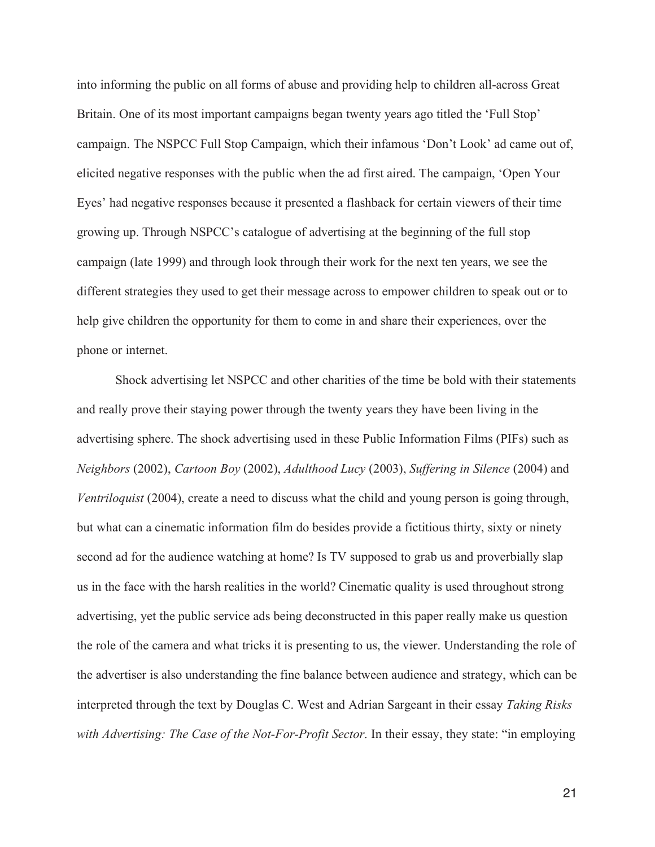into informing the public on all forms of abuse and providing help to children all-across Great Britain. One of its most important campaigns began twenty years ago titled the 'Full Stop' campaign. The NSPCC Full Stop Campaign, which their infamous 'Don't Look' ad came out of, elicited negative responses with the public when the ad first aired. The campaign, 'Open Your Eyes' had negative responses because it presented a flashback for certain viewers of their time growing up. Through NSPCC's catalogue of advertising at the beginning of the full stop campaign (late 1999) and through look through their work for the next ten years, we see the different strategies they used to get their message across to empower children to speak out or to help give children the opportunity for them to come in and share their experiences, over the phone or internet.

 Shock advertising let NSPCC and other charities of the time be bold with their statements and really prove their staying power through the twenty years they have been living in the advertising sphere. The shock advertising used in these Public Information Films (PIFs) such as *Neighbors* (2002), *Cartoon Boy* (2002), *Adulthood Lucy* (2003), *Suffering in Silence* (2004) and *Ventriloquist* (2004), create a need to discuss what the child and young person is going through, but what can a cinematic information film do besides provide a fictitious thirty, sixty or ninety second ad for the audience watching at home? Is TV supposed to grab us and proverbially slap us in the face with the harsh realities in the world? Cinematic quality is used throughout strong advertising, yet the public service ads being deconstructed in this paper really make us question the role of the camera and what tricks it is presenting to us, the viewer. Understanding the role of the advertiser is also understanding the fine balance between audience and strategy, which can be interpreted through the text by Douglas C. West and Adrian Sargeant in their essay *Taking Risks with Advertising: The Case of the Not-For-Profit Sector*. In their essay, they state: "in employing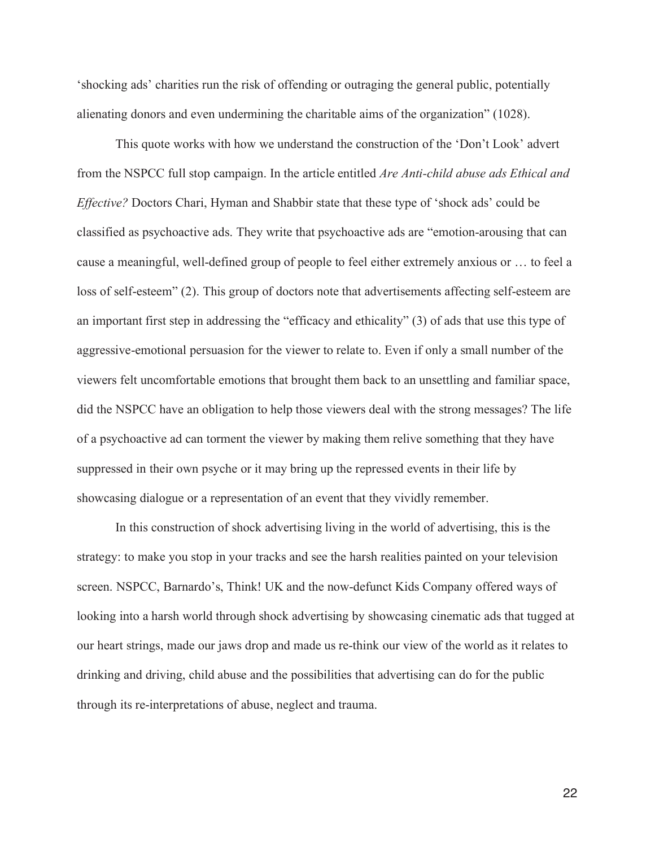'shocking ads' charities run the risk of offending or outraging the general public, potentially alienating donors and even undermining the charitable aims of the organization" (1028).

 This quote works with how we understand the construction of the 'Don't Look' advert from the NSPCC full stop campaign. In the article entitled *Are Anti-child abuse ads Ethical and Effective?* Doctors Chari, Hyman and Shabbir state that these type of 'shock ads' could be classified as psychoactive ads. They write that psychoactive ads are "emotion-arousing that can cause a meaningful, well-defined group of people to feel either extremely anxious or … to feel a loss of self-esteem" (2). This group of doctors note that advertisements affecting self-esteem are an important first step in addressing the "efficacy and ethicality" (3) of ads that use this type of aggressive-emotional persuasion for the viewer to relate to. Even if only a small number of the viewers felt uncomfortable emotions that brought them back to an unsettling and familiar space, did the NSPCC have an obligation to help those viewers deal with the strong messages? The life of a psychoactive ad can torment the viewer by making them relive something that they have suppressed in their own psyche or it may bring up the repressed events in their life by showcasing dialogue or a representation of an event that they vividly remember.

 In this construction of shock advertising living in the world of advertising, this is the strategy: to make you stop in your tracks and see the harsh realities painted on your television screen. NSPCC, Barnardo's, Think! UK and the now-defunct Kids Company offered ways of looking into a harsh world through shock advertising by showcasing cinematic ads that tugged at our heart strings, made our jaws drop and made us re-think our view of the world as it relates to drinking and driving, child abuse and the possibilities that advertising can do for the public through its re-interpretations of abuse, neglect and trauma.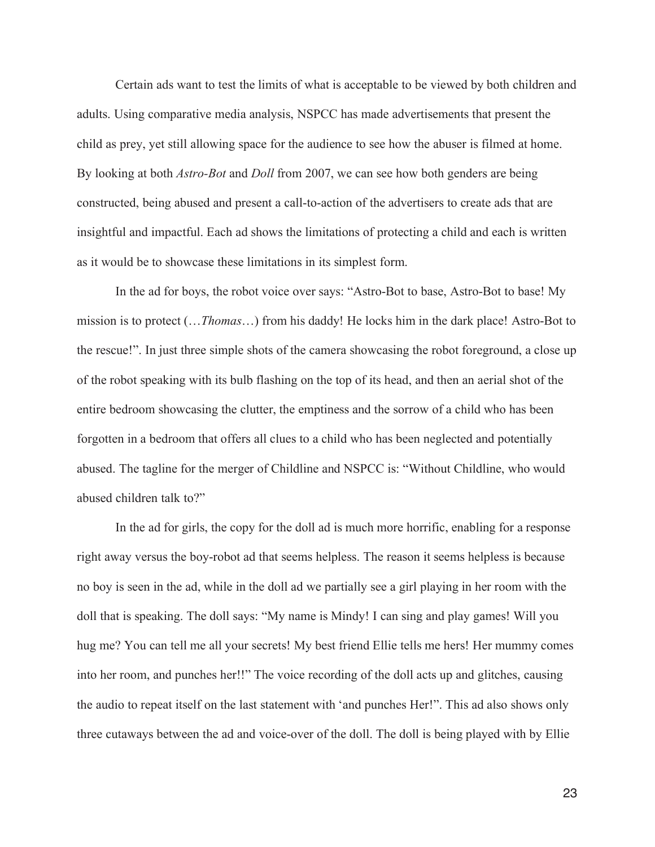Certain ads want to test the limits of what is acceptable to be viewed by both children and adults. Using comparative media analysis, NSPCC has made advertisements that present the child as prey, yet still allowing space for the audience to see how the abuser is filmed at home. By looking at both *Astro-Bot* and *Doll* from 2007, we can see how both genders are being constructed, being abused and present a call-to-action of the advertisers to create ads that are insightful and impactful. Each ad shows the limitations of protecting a child and each is written as it would be to showcase these limitations in its simplest form.

 In the ad for boys, the robot voice over says: "Astro-Bot to base, Astro-Bot to base! My mission is to protect (…*Thomas*…) from his daddy! He locks him in the dark place! Astro-Bot to the rescue!". In just three simple shots of the camera showcasing the robot foreground, a close up of the robot speaking with its bulb flashing on the top of its head, and then an aerial shot of the entire bedroom showcasing the clutter, the emptiness and the sorrow of a child who has been forgotten in a bedroom that offers all clues to a child who has been neglected and potentially abused. The tagline for the merger of Childline and NSPCC is: "Without Childline, who would abused children talk to?"

 In the ad for girls, the copy for the doll ad is much more horrific, enabling for a response right away versus the boy-robot ad that seems helpless. The reason it seems helpless is because no boy is seen in the ad, while in the doll ad we partially see a girl playing in her room with the doll that is speaking. The doll says: "My name is Mindy! I can sing and play games! Will you hug me? You can tell me all your secrets! My best friend Ellie tells me hers! Her mummy comes into her room, and punches her!!" The voice recording of the doll acts up and glitches, causing the audio to repeat itself on the last statement with 'and punches Her!". This ad also shows only three cutaways between the ad and voice-over of the doll. The doll is being played with by Ellie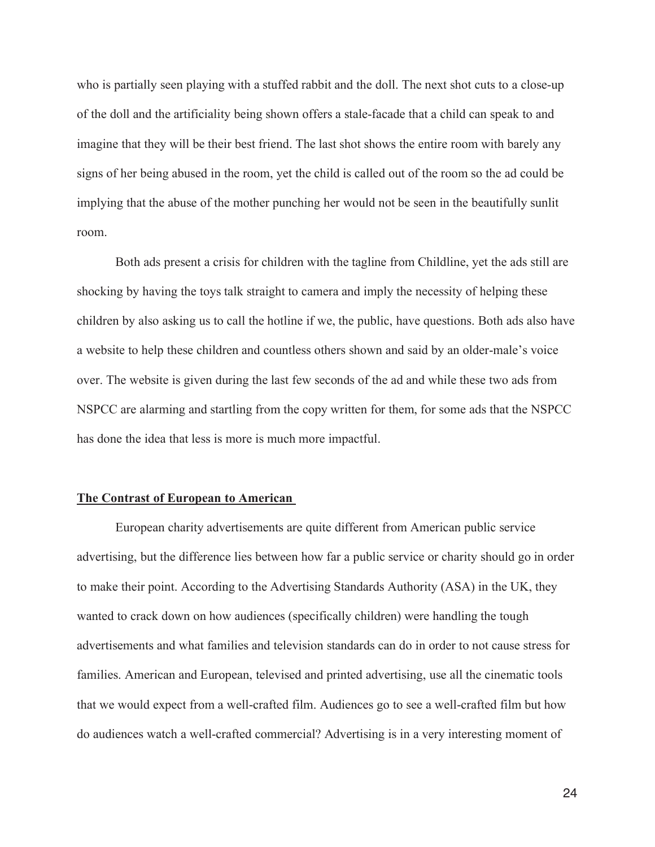who is partially seen playing with a stuffed rabbit and the doll. The next shot cuts to a close-up of the doll and the artificiality being shown offers a stale-facade that a child can speak to and imagine that they will be their best friend. The last shot shows the entire room with barely any signs of her being abused in the room, yet the child is called out of the room so the ad could be implying that the abuse of the mother punching her would not be seen in the beautifully sunlit room.

 Both ads present a crisis for children with the tagline from Childline, yet the ads still are shocking by having the toys talk straight to camera and imply the necessity of helping these children by also asking us to call the hotline if we, the public, have questions. Both ads also have a website to help these children and countless others shown and said by an older-male's voice over. The website is given during the last few seconds of the ad and while these two ads from NSPCC are alarming and startling from the copy written for them, for some ads that the NSPCC has done the idea that less is more is much more impactful.

#### **The Contrast of European to American**

 European charity advertisements are quite different from American public service advertising, but the difference lies between how far a public service or charity should go in order to make their point. According to the Advertising Standards Authority (ASA) in the UK, they wanted to crack down on how audiences (specifically children) were handling the tough advertisements and what families and television standards can do in order to not cause stress for families. American and European, televised and printed advertising, use all the cinematic tools that we would expect from a well-crafted film. Audiences go to see a well-crafted film but how do audiences watch a well-crafted commercial? Advertising is in a very interesting moment of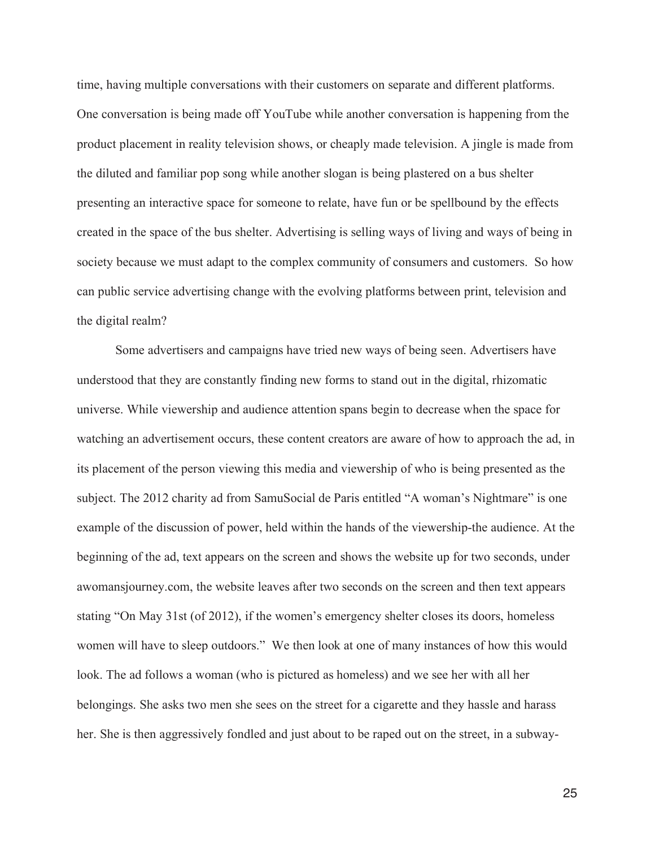time, having multiple conversations with their customers on separate and different platforms. One conversation is being made off YouTube while another conversation is happening from the product placement in reality television shows, or cheaply made television. A jingle is made from the diluted and familiar pop song while another slogan is being plastered on a bus shelter presenting an interactive space for someone to relate, have fun or be spellbound by the effects created in the space of the bus shelter. Advertising is selling ways of living and ways of being in society because we must adapt to the complex community of consumers and customers. So how can public service advertising change with the evolving platforms between print, television and the digital realm?

 Some advertisers and campaigns have tried new ways of being seen. Advertisers have understood that they are constantly finding new forms to stand out in the digital, rhizomatic universe. While viewership and audience attention spans begin to decrease when the space for watching an advertisement occurs, these content creators are aware of how to approach the ad, in its placement of the person viewing this media and viewership of who is being presented as the subject. The 2012 charity ad from SamuSocial de Paris entitled "A woman's Nightmare" is one example of the discussion of power, held within the hands of the viewership-the audience. At the beginning of the ad, text appears on the screen and shows the website up for two seconds, under awomansjourney.com, the website leaves after two seconds on the screen and then text appears stating "On May 31st (of 2012), if the women's emergency shelter closes its doors, homeless women will have to sleep outdoors." We then look at one of many instances of how this would look. The ad follows a woman (who is pictured as homeless) and we see her with all her belongings. She asks two men she sees on the street for a cigarette and they hassle and harass her. She is then aggressively fondled and just about to be raped out on the street, in a subway-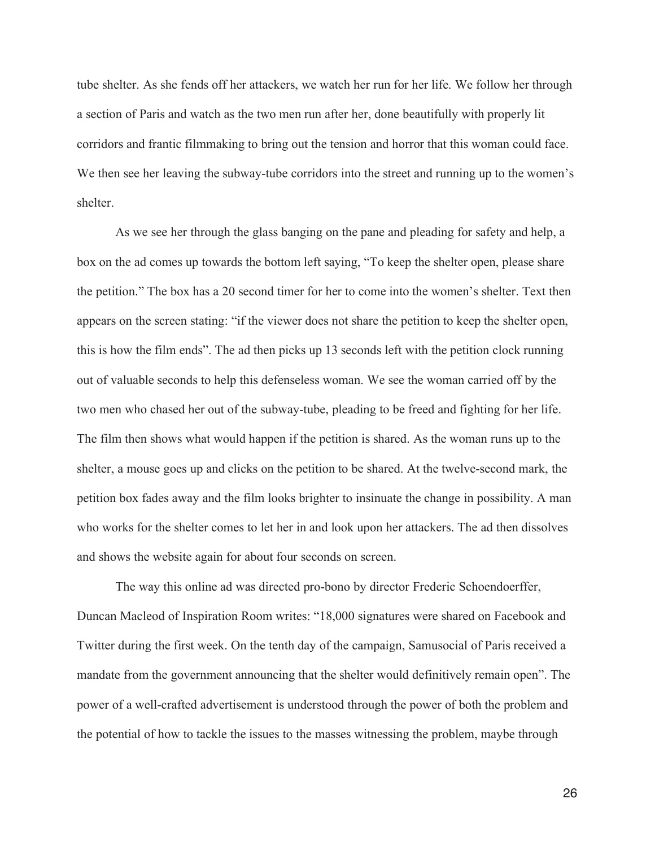tube shelter. As she fends off her attackers, we watch her run for her life. We follow her through a section of Paris and watch as the two men run after her, done beautifully with properly lit corridors and frantic filmmaking to bring out the tension and horror that this woman could face. We then see her leaving the subway-tube corridors into the street and running up to the women's shelter.

 As we see her through the glass banging on the pane and pleading for safety and help, a box on the ad comes up towards the bottom left saying, "To keep the shelter open, please share the petition." The box has a 20 second timer for her to come into the women's shelter. Text then appears on the screen stating: "if the viewer does not share the petition to keep the shelter open, this is how the film ends". The ad then picks up 13 seconds left with the petition clock running out of valuable seconds to help this defenseless woman. We see the woman carried off by the two men who chased her out of the subway-tube, pleading to be freed and fighting for her life. The film then shows what would happen if the petition is shared. As the woman runs up to the shelter, a mouse goes up and clicks on the petition to be shared. At the twelve-second mark, the petition box fades away and the film looks brighter to insinuate the change in possibility. A man who works for the shelter comes to let her in and look upon her attackers. The ad then dissolves and shows the website again for about four seconds on screen.

 The way this online ad was directed pro-bono by director Frederic Schoendoerffer, Duncan Macleod of Inspiration Room writes: "18,000 signatures were shared on Facebook and Twitter during the first week. On the tenth day of the campaign, Samusocial of Paris received a mandate from the government announcing that the shelter would definitively remain open". The power of a well-crafted advertisement is understood through the power of both the problem and the potential of how to tackle the issues to the masses witnessing the problem, maybe through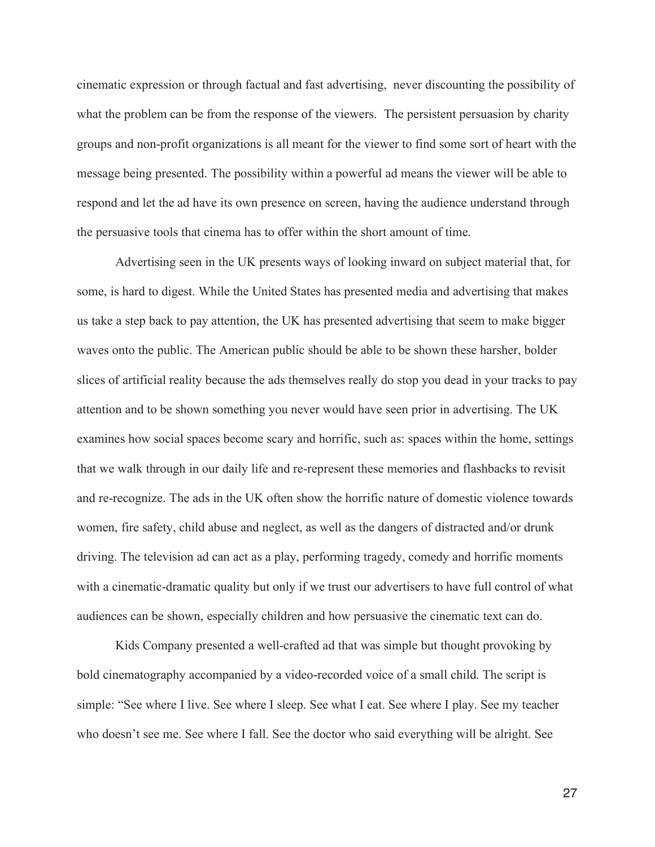cinematic expression or through factual and fast advertising, never discounting the possibility of what the problem can be from the response of the viewers. The persistent persuasion by charity groups and non-profit organizations is all meant for the viewer to find some sort of heart with the message being presented. The possibility within a powerful ad means the viewer will be able to respond and let the ad have its own presence on screen, having the audience understand through the persuasive tools that cinema has to offer within the short amount of time.

 Advertising seen in the UK presents ways of looking inward on subject material that, for some, is hard to digest. While the United States has presented media and advertising that makes us take a step back to pay attention, the UK has presented advertising that seem to make bigger waves onto the public. The American public should be able to be shown these harsher, bolder slices of artificial reality because the ads themselves really do stop you dead in your tracks to pay attention and to be shown something you never would have seen prior in advertising. The UK examines how social spaces become scary and horrific, such as: spaces within the home, settings that we walk through in our daily life and re-represent these memories and flashbacks to revisit and re-recognize. The ads in the UK often show the horrific nature of domestic violence towards women, fire safety, child abuse and neglect, as well as the dangers of distracted and/or drunk driving. The television ad can act as a play, performing tragedy, comedy and horrific moments with a cinematic-dramatic quality but only if we trust our advertisers to have full control of what audiences can be shown, especially children and how persuasive the cinematic text can do.

 Kids Company presented a well-crafted ad that was simple but thought provoking by bold cinematography accompanied by a video-recorded voice of a small child. The script is simple: "See where I live. See where I sleep. See what I eat. See where I play. See my teacher who doesn't see me. See where I fall. See the doctor who said everything will be alright. See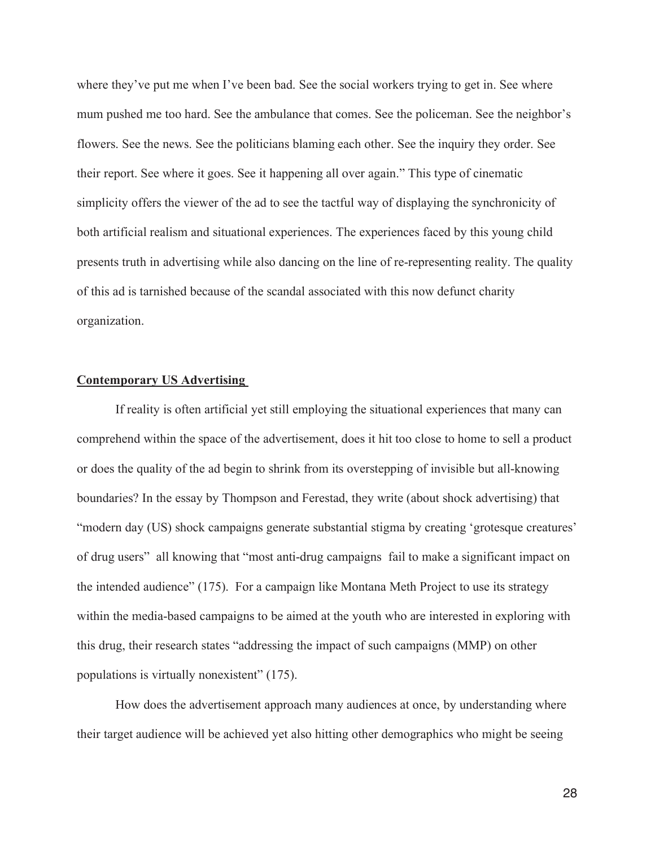where they've put me when I've been bad. See the social workers trying to get in. See where mum pushed me too hard. See the ambulance that comes. See the policeman. See the neighbor's flowers. See the news. See the politicians blaming each other. See the inquiry they order. See their report. See where it goes. See it happening all over again." This type of cinematic simplicity offers the viewer of the ad to see the tactful way of displaying the synchronicity of both artificial realism and situational experiences. The experiences faced by this young child presents truth in advertising while also dancing on the line of re-representing reality. The quality of this ad is tarnished because of the scandal associated with this now defunct charity organization.

#### **Contemporary US Advertising**

 If reality is often artificial yet still employing the situational experiences that many can comprehend within the space of the advertisement, does it hit too close to home to sell a product or does the quality of the ad begin to shrink from its overstepping of invisible but all-knowing boundaries? In the essay by Thompson and Ferestad, they write (about shock advertising) that "modern day (US) shock campaigns generate substantial stigma by creating 'grotesque creatures' of drug users" all knowing that "most anti-drug campaigns fail to make a significant impact on the intended audience" (175). For a campaign like Montana Meth Project to use its strategy within the media-based campaigns to be aimed at the youth who are interested in exploring with this drug, their research states "addressing the impact of such campaigns (MMP) on other populations is virtually nonexistent" (175).

 How does the advertisement approach many audiences at once, by understanding where their target audience will be achieved yet also hitting other demographics who might be seeing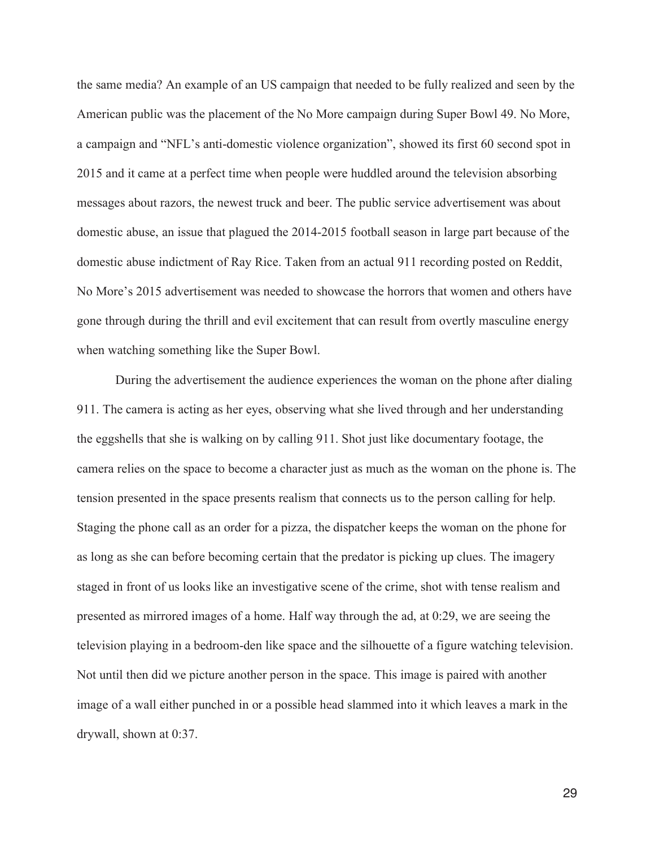the same media? An example of an US campaign that needed to be fully realized and seen by the American public was the placement of the No More campaign during Super Bowl 49. No More, a campaign and "NFL's anti-domestic violence organization", showed its first 60 second spot in 2015 and it came at a perfect time when people were huddled around the television absorbing messages about razors, the newest truck and beer. The public service advertisement was about domestic abuse, an issue that plagued the 2014-2015 football season in large part because of the domestic abuse indictment of Ray Rice. Taken from an actual 911 recording posted on Reddit, No More's 2015 advertisement was needed to showcase the horrors that women and others have gone through during the thrill and evil excitement that can result from overtly masculine energy when watching something like the Super Bowl.

 During the advertisement the audience experiences the woman on the phone after dialing 911. The camera is acting as her eyes, observing what she lived through and her understanding the eggshells that she is walking on by calling 911. Shot just like documentary footage, the camera relies on the space to become a character just as much as the woman on the phone is. The tension presented in the space presents realism that connects us to the person calling for help. Staging the phone call as an order for a pizza, the dispatcher keeps the woman on the phone for as long as she can before becoming certain that the predator is picking up clues. The imagery staged in front of us looks like an investigative scene of the crime, shot with tense realism and presented as mirrored images of a home. Half way through the ad, at 0:29, we are seeing the television playing in a bedroom-den like space and the silhouette of a figure watching television. Not until then did we picture another person in the space. This image is paired with another image of a wall either punched in or a possible head slammed into it which leaves a mark in the drywall, shown at 0:37.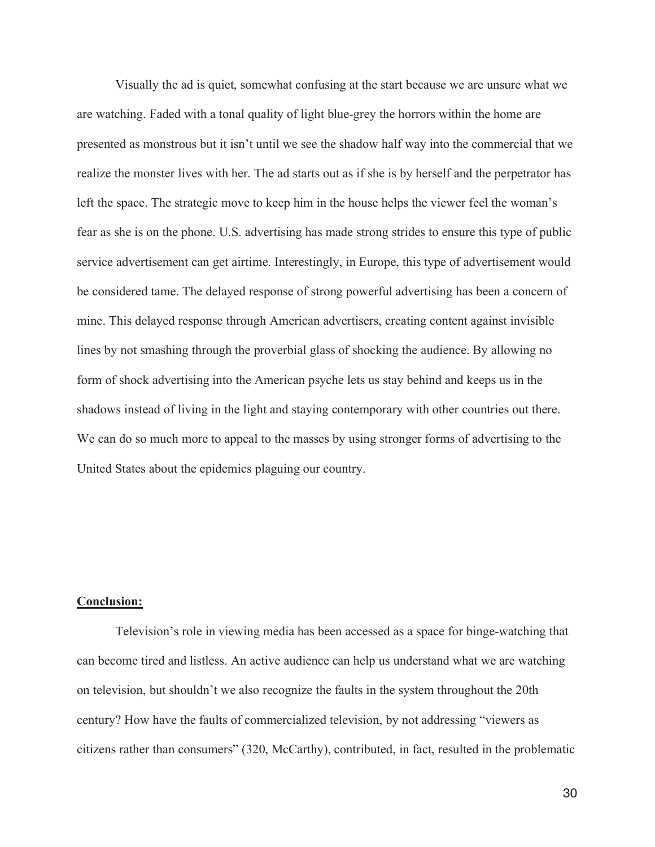Visually the ad is quiet, somewhat confusing at the start because we are unsure what we are watching. Faded with a tonal quality of light blue-grey the horrors within the home are presented as monstrous but it isn't until we see the shadow half way into the commercial that we realize the monster lives with her. The ad starts out as if she is by herself and the perpetrator has left the space. The strategic move to keep him in the house helps the viewer feel the woman's fear as she is on the phone. U.S. advertising has made strong strides to ensure this type of public service advertisement can get airtime. Interestingly, in Europe, this type of advertisement would be considered tame. The delayed response of strong powerful advertising has been a concern of mine. This delayed response through American advertisers, creating content against invisible lines by not smashing through the proverbial glass of shocking the audience. By allowing no form of shock advertising into the American psyche lets us stay behind and keeps us in the shadows instead of living in the light and staying contemporary with other countries out there. We can do so much more to appeal to the masses by using stronger forms of advertising to the United States about the epidemics plaguing our country.

#### **Conclusion:**

 Television's role in viewing media has been accessed as a space for binge-watching that can become tired and listless. An active audience can help us understand what we are watching on television, but shouldn't we also recognize the faults in the system throughout the 20th century? How have the faults of commercialized television, by not addressing "viewers as citizens rather than consumers" (320, McCarthy), contributed, in fact, resulted in the problematic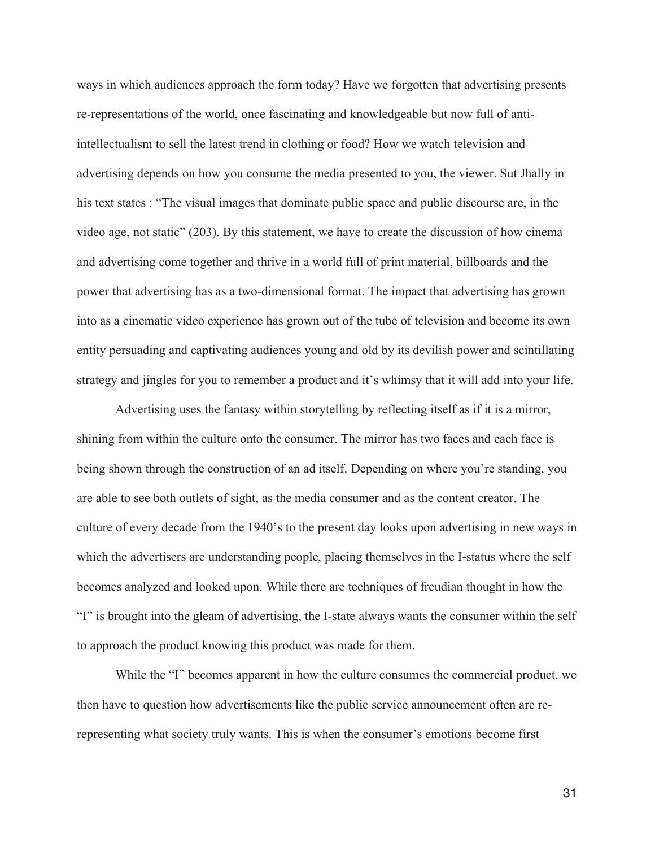ways in which audiences approach the form today? Have we forgotten that advertising presents re-representations of the world, once fascinating and knowledgeable but now full of antiintellectualism to sell the latest trend in clothing or food? How we watch television and advertising depends on how you consume the media presented to you, the viewer. Sut Jhally in his text states : "The visual images that dominate public space and public discourse are, in the video age, not static" (203). By this statement, we have to create the discussion of how cinema and advertising come together and thrive in a world full of print material, billboards and the power that advertising has as a two-dimensional format. The impact that advertising has grown into as a cinematic video experience has grown out of the tube of television and become its own entity persuading and captivating audiences young and old by its devilish power and scintillating strategy and jingles for you to remember a product and it's whimsy that it will add into your life.

 Advertising uses the fantasy within storytelling by reflecting itself as if it is a mirror, shining from within the culture onto the consumer. The mirror has two faces and each face is being shown through the construction of an ad itself. Depending on where you're standing, you are able to see both outlets of sight, as the media consumer and as the content creator. The culture of every decade from the 1940's to the present day looks upon advertising in new ways in which the advertisers are understanding people, placing themselves in the I-status where the self becomes analyzed and looked upon. While there are techniques of freudian thought in how the "I" is brought into the gleam of advertising, the I-state always wants the consumer within the self to approach the product knowing this product was made for them.

 While the "I" becomes apparent in how the culture consumes the commercial product, we then have to question how advertisements like the public service announcement often are rerepresenting what society truly wants. This is when the consumer's emotions become first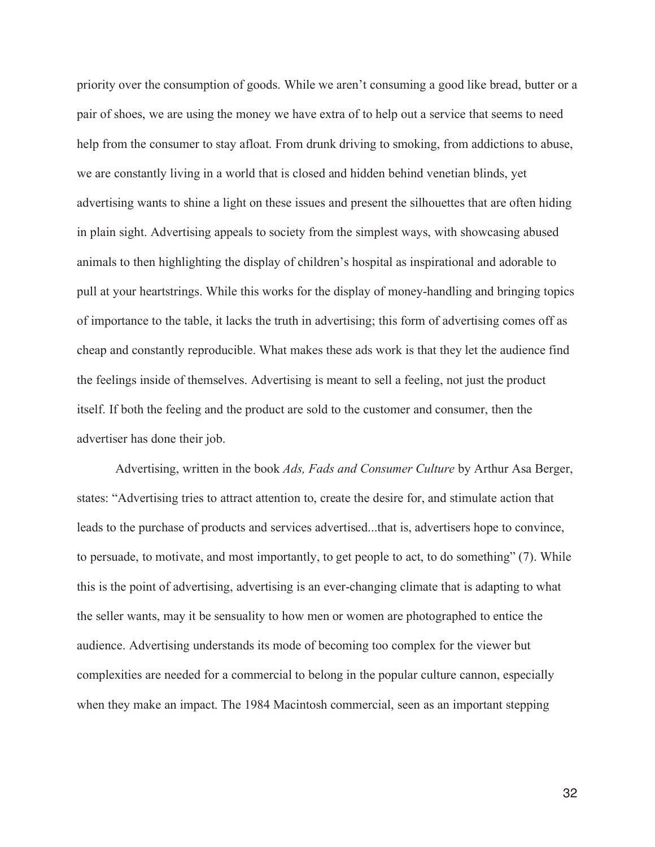priority over the consumption of goods. While we aren't consuming a good like bread, butter or a pair of shoes, we are using the money we have extra of to help out a service that seems to need help from the consumer to stay afloat. From drunk driving to smoking, from addictions to abuse, we are constantly living in a world that is closed and hidden behind venetian blinds, yet advertising wants to shine a light on these issues and present the silhouettes that are often hiding in plain sight. Advertising appeals to society from the simplest ways, with showcasing abused animals to then highlighting the display of children's hospital as inspirational and adorable to pull at your heartstrings. While this works for the display of money-handling and bringing topics of importance to the table, it lacks the truth in advertising; this form of advertising comes off as cheap and constantly reproducible. What makes these ads work is that they let the audience find the feelings inside of themselves. Advertising is meant to sell a feeling, not just the product itself. If both the feeling and the product are sold to the customer and consumer, then the advertiser has done their job.

 Advertising, written in the book *Ads, Fads and Consumer Culture* by Arthur Asa Berger, states: "Advertising tries to attract attention to, create the desire for, and stimulate action that leads to the purchase of products and services advertised...that is, advertisers hope to convince, to persuade, to motivate, and most importantly, to get people to act, to do something" (7). While this is the point of advertising, advertising is an ever-changing climate that is adapting to what the seller wants, may it be sensuality to how men or women are photographed to entice the audience. Advertising understands its mode of becoming too complex for the viewer but complexities are needed for a commercial to belong in the popular culture cannon, especially when they make an impact. The 1984 Macintosh commercial, seen as an important stepping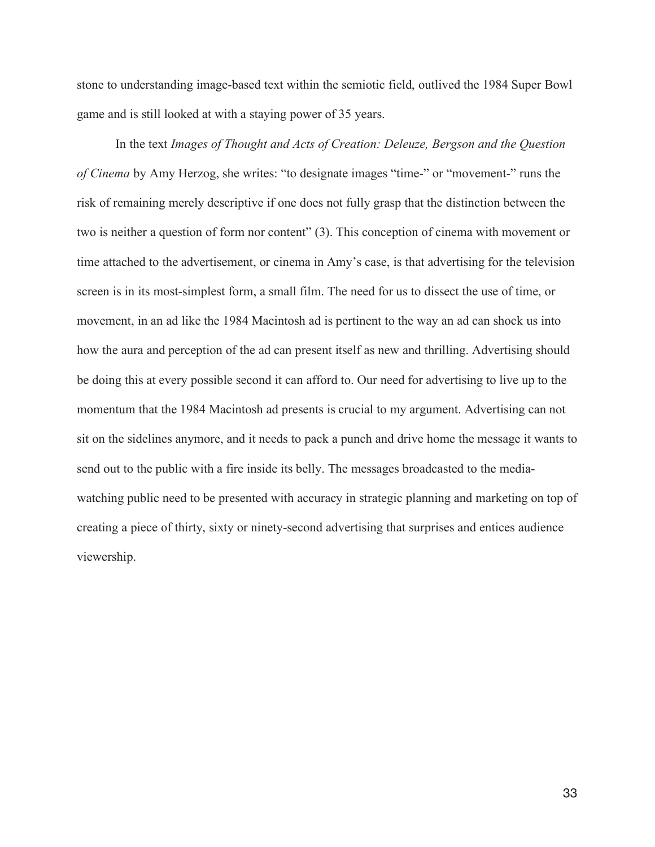stone to understanding image-based text within the semiotic field, outlived the 1984 Super Bowl game and is still looked at with a staying power of 35 years.

 In the text *Images of Thought and Acts of Creation: Deleuze, Bergson and the Question of Cinema* by Amy Herzog, she writes: "to designate images "time-" or "movement-" runs the risk of remaining merely descriptive if one does not fully grasp that the distinction between the two is neither a question of form nor content" (3). This conception of cinema with movement or time attached to the advertisement, or cinema in Amy's case, is that advertising for the television screen is in its most-simplest form, a small film. The need for us to dissect the use of time, or movement, in an ad like the 1984 Macintosh ad is pertinent to the way an ad can shock us into how the aura and perception of the ad can present itself as new and thrilling. Advertising should be doing this at every possible second it can afford to. Our need for advertising to live up to the momentum that the 1984 Macintosh ad presents is crucial to my argument. Advertising can not sit on the sidelines anymore, and it needs to pack a punch and drive home the message it wants to send out to the public with a fire inside its belly. The messages broadcasted to the mediawatching public need to be presented with accuracy in strategic planning and marketing on top of creating a piece of thirty, sixty or ninety-second advertising that surprises and entices audience viewership.